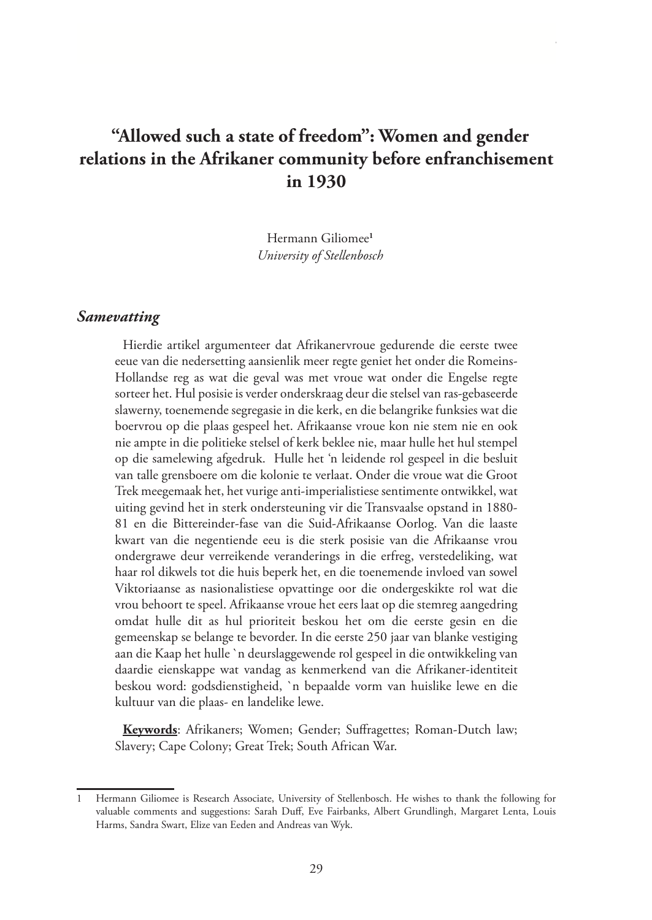# **"Allowed such a state of freedom": Women and gender relations in the Afrikaner community before enfranchisement in 1930**

Hermann Giliomee**<sup>1</sup>** *University of Stellenbosch*

# *Samevatting*

Hierdie artikel argumenteer dat Afrikanervroue gedurende die eerste twee eeue van die nedersetting aansienlik meer regte geniet het onder die Romeins-Hollandse reg as wat die geval was met vroue wat onder die Engelse regte sorteer het. Hul posisie is verder onderskraag deur die stelsel van ras-gebaseerde slawerny, toenemende segregasie in die kerk, en die belangrike funksies wat die boervrou op die plaas gespeel het. Afrikaanse vroue kon nie stem nie en ook nie ampte in die politieke stelsel of kerk beklee nie, maar hulle het hul stempel op die samelewing afgedruk. Hulle het 'n leidende rol gespeel in die besluit van talle grensboere om die kolonie te verlaat. Onder die vroue wat die Groot Trek meegemaak het, het vurige anti-imperialistiese sentimente ontwikkel, wat uiting gevind het in sterk ondersteuning vir die Transvaalse opstand in 1880- 81 en die Bittereinder-fase van die Suid-Afrikaanse Oorlog. Van die laaste kwart van die negentiende eeu is die sterk posisie van die Afrikaanse vrou ondergrawe deur verreikende veranderings in die erfreg, verstedeliking, wat haar rol dikwels tot die huis beperk het, en die toenemende invloed van sowel Viktoriaanse as nasionalistiese opvattinge oor die ondergeskikte rol wat die vrou behoort te speel. Afrikaanse vroue het eers laat op die stemreg aangedring omdat hulle dit as hul prioriteit beskou het om die eerste gesin en die gemeenskap se belange te bevorder. In die eerste 250 jaar van blanke vestiging aan die Kaap het hulle `n deurslaggewende rol gespeel in die ontwikkeling van daardie eienskappe wat vandag as kenmerkend van die Afrikaner-identiteit beskou word: godsdienstigheid, `n bepaalde vorm van huislike lewe en die kultuur van die plaas- en landelike lewe.

**Keywords**: Afrikaners; Women; Gender; Suffragettes; Roman-Dutch law; Slavery; Cape Colony; Great Trek; South African War.

<sup>1</sup> Hermann Giliomee is Research Associate, University of Stellenbosch. He wishes to thank the following for valuable comments and suggestions: Sarah Duff, Eve Fairbanks, Albert Grundlingh, Margaret Lenta, Louis Harms, Sandra Swart, Elize van Eeden and Andreas van Wyk.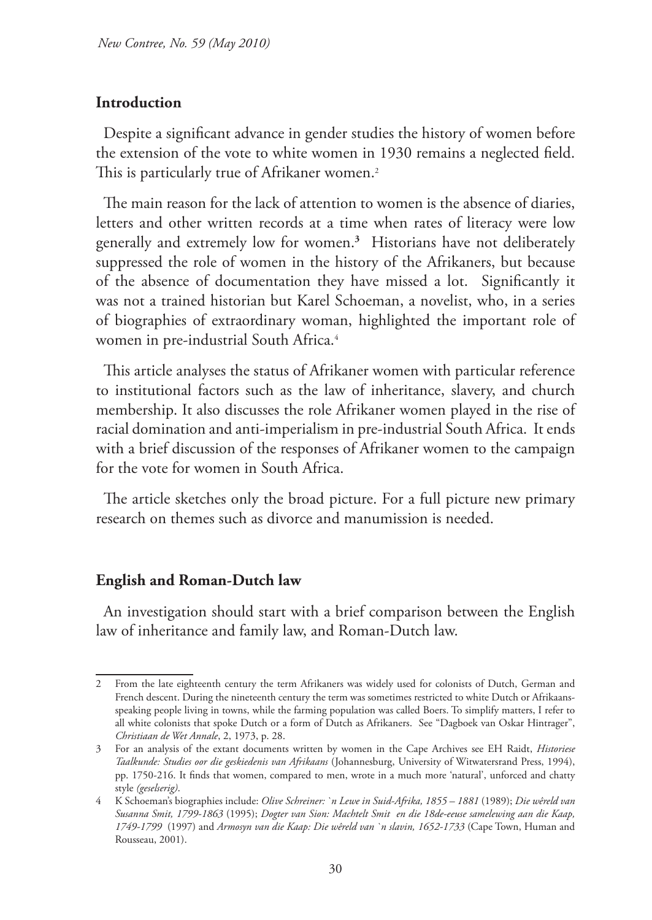#### **Introduction**

Despite a significant advance in gender studies the history of women before the extension of the vote to white women in 1930 remains a neglected field. This is particularly true of Afrikaner women.<sup>2</sup>

The main reason for the lack of attention to women is the absence of diaries, letters and other written records at a time when rates of literacy were low generally and extremely low for women.**<sup>3</sup>** Historians have not deliberately suppressed the role of women in the history of the Afrikaners, but because of the absence of documentation they have missed a lot. Significantly it was not a trained historian but Karel Schoeman, a novelist, who, in a series of biographies of extraordinary woman, highlighted the important role of women in pre-industrial South Africa.<sup>4</sup>

This article analyses the status of Afrikaner women with particular reference to institutional factors such as the law of inheritance, slavery, and church membership. It also discusses the role Afrikaner women played in the rise of racial domination and anti-imperialism in pre-industrial South Africa. It ends with a brief discussion of the responses of Afrikaner women to the campaign for the vote for women in South Africa.

The article sketches only the broad picture. For a full picture new primary research on themes such as divorce and manumission is needed.

#### **English and Roman-Dutch law**

An investigation should start with a brief comparison between the English law of inheritance and family law, and Roman-Dutch law.

<sup>2</sup> From the late eighteenth century the term Afrikaners was widely used for colonists of Dutch, German and French descent. During the nineteenth century the term was sometimes restricted to white Dutch or Afrikaansspeaking people living in towns, while the farming population was called Boers. To simplify matters, I refer to all white colonists that spoke Dutch or a form of Dutch as Afrikaners. See "Dagboek van Oskar Hintrager", *Christiaan de Wet Annale*, 2, 1973, p. 28.

<sup>3</sup> For an analysis of the extant documents written by women in the Cape Archives see EH Raidt, *Historiese Taalkunde: Studies oor die geskiedenis van Afrikaans* (Johannesburg, University of Witwatersrand Press, 1994), pp. 1750-216. It finds that women, compared to men, wrote in a much more 'natural', unforced and chatty style *(geselserig)*.

<sup>4</sup> K Schoeman's biographies include: *Olive Schreiner: `n Lewe in Suid-Afrika, 1855 – 1881* (1989); *Die wêreld van Susanna Smit, 1799-1863* (1995); *Dogter van Sion: Machtelt Smit en die 18de-eeuse samelewing aan die Kaap, 1749-1799* (1997) and *Armosyn van die Kaap: Die wêreld van `n slavin, 1652-1733* (Cape Town, Human and Rousseau, 2001).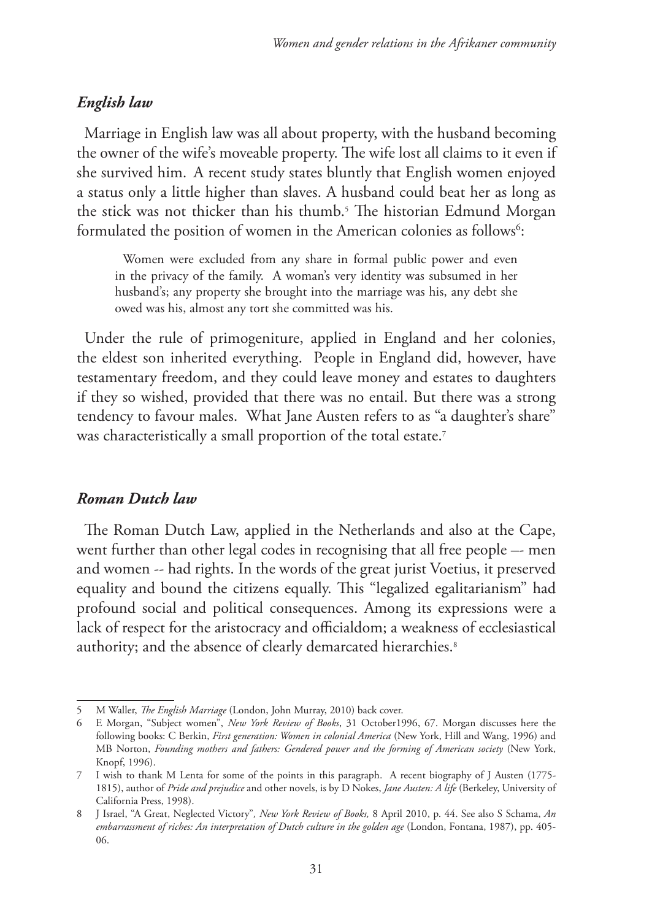# *English law*

Marriage in English law was all about property, with the husband becoming the owner of the wife's moveable property. The wife lost all claims to it even if she survived him. A recent study states bluntly that English women enjoyed a status only a little higher than slaves. A husband could beat her as long as the stick was not thicker than his thumb.<sup>5</sup> The historian Edmund Morgan formulated the position of women in the American colonies as follows<sup>6</sup>:

Women were excluded from any share in formal public power and even in the privacy of the family. A woman's very identity was subsumed in her husband's; any property she brought into the marriage was his, any debt she owed was his, almost any tort she committed was his.

Under the rule of primogeniture, applied in England and her colonies, the eldest son inherited everything. People in England did, however, have testamentary freedom, and they could leave money and estates to daughters if they so wished, provided that there was no entail. But there was a strong tendency to favour males. What Jane Austen refers to as "a daughter's share" was characteristically a small proportion of the total estate.<sup>7</sup>

# *Roman Dutch law*

The Roman Dutch Law, applied in the Netherlands and also at the Cape, went further than other legal codes in recognising that all free people –- men and women -- had rights. In the words of the great jurist Voetius, it preserved equality and bound the citizens equally. This "legalized egalitarianism" had profound social and political consequences. Among its expressions were a lack of respect for the aristocracy and officialdom; a weakness of ecclesiastical authority; and the absence of clearly demarcated hierarchies.<sup>8</sup>

<sup>5</sup> M Waller, *The English Marriage* (London, John Murray, 2010) back cover.

<sup>6</sup> E Morgan, "Subject women", *New York Review of Books*, 31 October1996, 67. Morgan discusses here the following books: C Berkin, *First generation: Women in colonial America* (New York, Hill and Wang, 1996) and MB Norton, *Founding mothers and fathers: Gendered power and the forming of American society* (New York, Knopf, 1996).

<sup>7</sup> I wish to thank M Lenta for some of the points in this paragraph. A recent biography of J Austen (1775- 1815), author of *Pride and prejudice* and other novels, is by D Nokes, *Jane Austen: A life* (Berkeley, University of California Press, 1998).

<sup>8</sup> J Israel, "A Great, Neglected Victory"*, New York Review of Books,* 8 April 2010, p. 44. See also S Schama, *An embarrassment of riches: An interpretation of Dutch culture in the golden age* (London, Fontana, 1987), pp. 405- 06.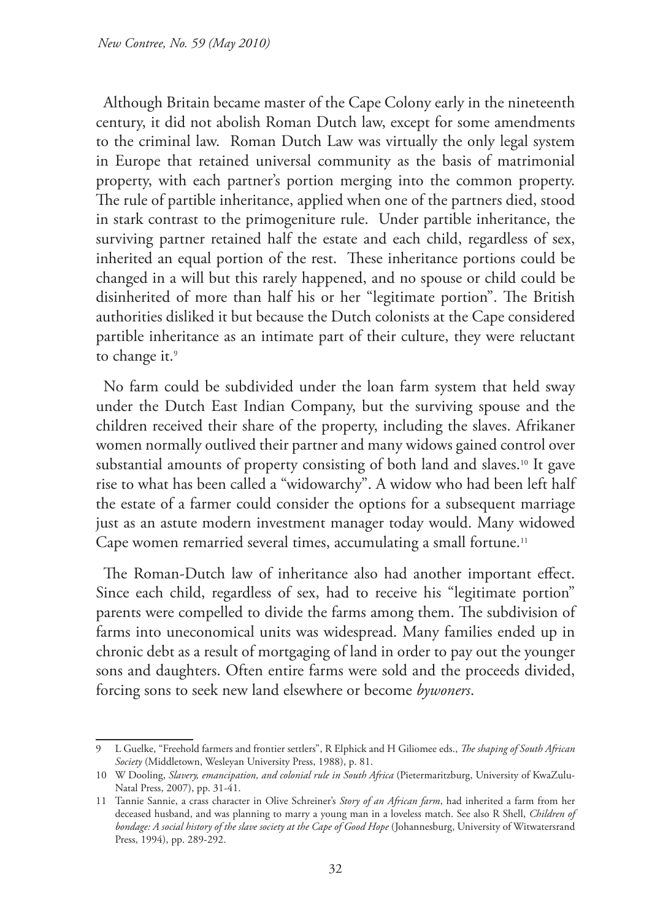Although Britain became master of the Cape Colony early in the nineteenth century, it did not abolish Roman Dutch law, except for some amendments to the criminal law. Roman Dutch Law was virtually the only legal system in Europe that retained universal community as the basis of matrimonial property, with each partner's portion merging into the common property. The rule of partible inheritance, applied when one of the partners died, stood in stark contrast to the primogeniture rule. Under partible inheritance, the surviving partner retained half the estate and each child, regardless of sex, inherited an equal portion of the rest. These inheritance portions could be changed in a will but this rarely happened, and no spouse or child could be disinherited of more than half his or her "legitimate portion". The British authorities disliked it but because the Dutch colonists at the Cape considered partible inheritance as an intimate part of their culture, they were reluctant to change it.<sup>9</sup>

No farm could be subdivided under the loan farm system that held sway under the Dutch East Indian Company, but the surviving spouse and the children received their share of the property, including the slaves. Afrikaner women normally outlived their partner and many widows gained control over substantial amounts of property consisting of both land and slaves.10 It gave rise to what has been called a "widowarchy". A widow who had been left half the estate of a farmer could consider the options for a subsequent marriage just as an astute modern investment manager today would. Many widowed Cape women remarried several times, accumulating a small fortune.<sup>11</sup>

The Roman-Dutch law of inheritance also had another important effect. Since each child, regardless of sex, had to receive his "legitimate portion" parents were compelled to divide the farms among them. The subdivision of farms into uneconomical units was widespread. Many families ended up in chronic debt as a result of mortgaging of land in order to pay out the younger sons and daughters. Often entire farms were sold and the proceeds divided, forcing sons to seek new land elsewhere or become *bywoners*.

<sup>9</sup> L Guelke, "Freehold farmers and frontier settlers", R Elphick and H Giliomee eds., *The shaping of South African Society* (Middletown, Wesleyan University Press, 1988), p. 81.

<sup>10</sup> W Dooling, *Slavery, emancipation, and colonial rule in South Africa* (Pietermaritzburg, University of KwaZulu-Natal Press, 2007), pp. 31-41.

<sup>11</sup> Tannie Sannie, a crass character in Olive Schreiner's *Story of an African farm*, had inherited a farm from her deceased husband, and was planning to marry a young man in a loveless match. See also R Shell, *Children of bondage: A social history of the slave society at the Cape of Good Hope* (Johannesburg, University of Witwatersrand Press, 1994), pp. 289-292.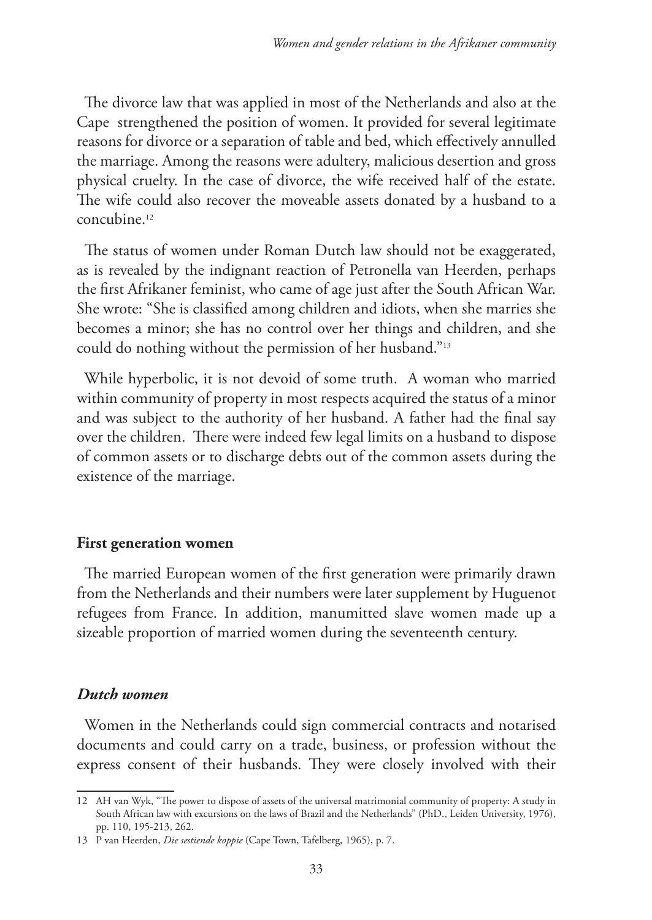The divorce law that was applied in most of the Netherlands and also at the Cape strengthened the position of women. It provided for several legitimate reasons for divorce or a separation of table and bed, which effectively annulled the marriage. Among the reasons were adultery, malicious desertion and gross physical cruelty. In the case of divorce, the wife received half of the estate. The wife could also recover the moveable assets donated by a husband to a concubine.12

The status of women under Roman Dutch law should not be exaggerated, as is revealed by the indignant reaction of Petronella van Heerden, perhaps the first Afrikaner feminist, who came of age just after the South African War. She wrote: "She is classified among children and idiots, when she marries she becomes a minor; she has no control over her things and children, and she could do nothing without the permission of her husband."13

While hyperbolic, it is not devoid of some truth. A woman who married within community of property in most respects acquired the status of a minor and was subject to the authority of her husband. A father had the final say over the children. There were indeed few legal limits on a husband to dispose of common assets or to discharge debts out of the common assets during the existence of the marriage.

#### **First generation women**

The married European women of the first generation were primarily drawn from the Netherlands and their numbers were later supplement by Huguenot refugees from France. In addition, manumitted slave women made up a sizeable proportion of married women during the seventeenth century.

## *Dutch women*

Women in the Netherlands could sign commercial contracts and notarised documents and could carry on a trade, business, or profession without the express consent of their husbands. They were closely involved with their

<sup>12</sup> AH van Wyk, "The power to dispose of assets of the universal matrimonial community of property: A study in South African law with excursions on the laws of Brazil and the Netherlands" (PhD., Leiden University, 1976), pp. 110, 195-213, 262.

<sup>13</sup> P van Heerden, *Die sestiende koppie* (Cape Town, Tafelberg, 1965), p. 7.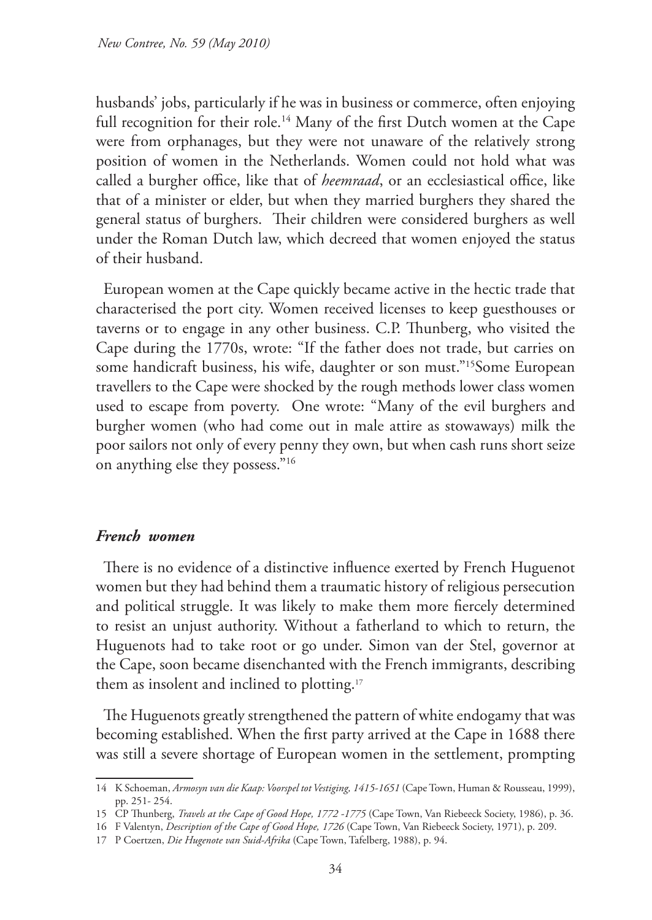husbands' jobs, particularly if he was in business or commerce, often enjoying full recognition for their role.<sup>14</sup> Many of the first Dutch women at the Cape were from orphanages, but they were not unaware of the relatively strong position of women in the Netherlands. Women could not hold what was called a burgher office, like that of *heemraad*, or an ecclesiastical office, like that of a minister or elder, but when they married burghers they shared the general status of burghers. Their children were considered burghers as well under the Roman Dutch law, which decreed that women enjoyed the status of their husband.

European women at the Cape quickly became active in the hectic trade that characterised the port city. Women received licenses to keep guesthouses or taverns or to engage in any other business. C.P. Thunberg, who visited the Cape during the 1770s, wrote: "If the father does not trade, but carries on some handicraft business, his wife, daughter or son must."<sup>15</sup>Some European travellers to the Cape were shocked by the rough methods lower class women used to escape from poverty. One wrote: "Many of the evil burghers and burgher women (who had come out in male attire as stowaways) milk the poor sailors not only of every penny they own, but when cash runs short seize on anything else they possess."16

# *French women*

There is no evidence of a distinctive influence exerted by French Huguenot women but they had behind them a traumatic history of religious persecution and political struggle. It was likely to make them more fiercely determined to resist an unjust authority. Without a fatherland to which to return, the Huguenots had to take root or go under. Simon van der Stel, governor at the Cape, soon became disenchanted with the French immigrants, describing them as insolent and inclined to plotting.<sup>17</sup>

The Huguenots greatly strengthened the pattern of white endogamy that was becoming established. When the first party arrived at the Cape in 1688 there was still a severe shortage of European women in the settlement, prompting

<sup>14</sup> K Schoeman, *Armosyn van die Kaap: Voorspel tot Vestiging, 1415-1651* (Cape Town, Human & Rousseau, 1999), pp. 251- 254.

<sup>15</sup> CP Thunberg, *Travels at the Cape of Good Hope, 1772 -1775* (Cape Town, Van Riebeeck Society, 1986), p. 36.

<sup>16</sup> F Valentyn, *Description of the Cape of Good Hope, 1726* (Cape Town, Van Riebeeck Society, 1971), p. 209.

<sup>17</sup> P Coertzen, *Die Hugenote van Suid-Afrika* (Cape Town, Tafelberg, 1988), p. 94.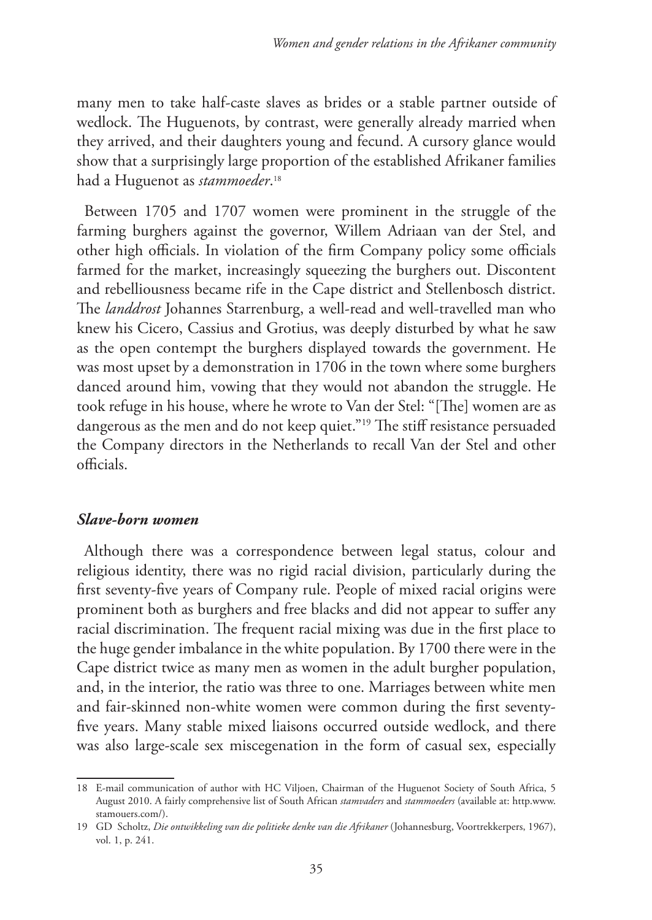many men to take half-caste slaves as brides or a stable partner outside of wedlock. The Huguenots, by contrast, were generally already married when they arrived, and their daughters young and fecund. A cursory glance would show that a surprisingly large proportion of the established Afrikaner families had a Huguenot as *stammoeder*. 18

Between 1705 and 1707 women were prominent in the struggle of the farming burghers against the governor, Willem Adriaan van der Stel, and other high officials. In violation of the firm Company policy some officials farmed for the market, increasingly squeezing the burghers out. Discontent and rebelliousness became rife in the Cape district and Stellenbosch district. The *landdrost* Johannes Starrenburg, a well-read and well-travelled man who knew his Cicero, Cassius and Grotius, was deeply disturbed by what he saw as the open contempt the burghers displayed towards the government. He was most upset by a demonstration in 1706 in the town where some burghers danced around him, vowing that they would not abandon the struggle. He took refuge in his house, where he wrote to Van der Stel: "[The] women are as dangerous as the men and do not keep quiet."19 The stiff resistance persuaded the Company directors in the Netherlands to recall Van der Stel and other officials.

#### *Slave-born women*

Although there was a correspondence between legal status, colour and religious identity, there was no rigid racial division, particularly during the first seventy-five years of Company rule. People of mixed racial origins were prominent both as burghers and free blacks and did not appear to suffer any racial discrimination. The frequent racial mixing was due in the first place to the huge gender imbalance in the white population. By 1700 there were in the Cape district twice as many men as women in the adult burgher population, and, in the interior, the ratio was three to one. Marriages between white men and fair-skinned non-white women were common during the first seventyfive years. Many stable mixed liaisons occurred outside wedlock, and there was also large-scale sex miscegenation in the form of casual sex, especially

<sup>18</sup> E-mail communication of author with HC Viljoen, Chairman of the Huguenot Society of South Africa, 5 August 2010. A fairly comprehensive list of South African *stamvaders* and *stammoeders* (available at: http.www. stamouers.com/).

<sup>19</sup> GD Scholtz, *Die ontwikkeling van die politieke denke van die Afrikaner* (Johannesburg, Voortrekkerpers, 1967), vol. 1, p. 241.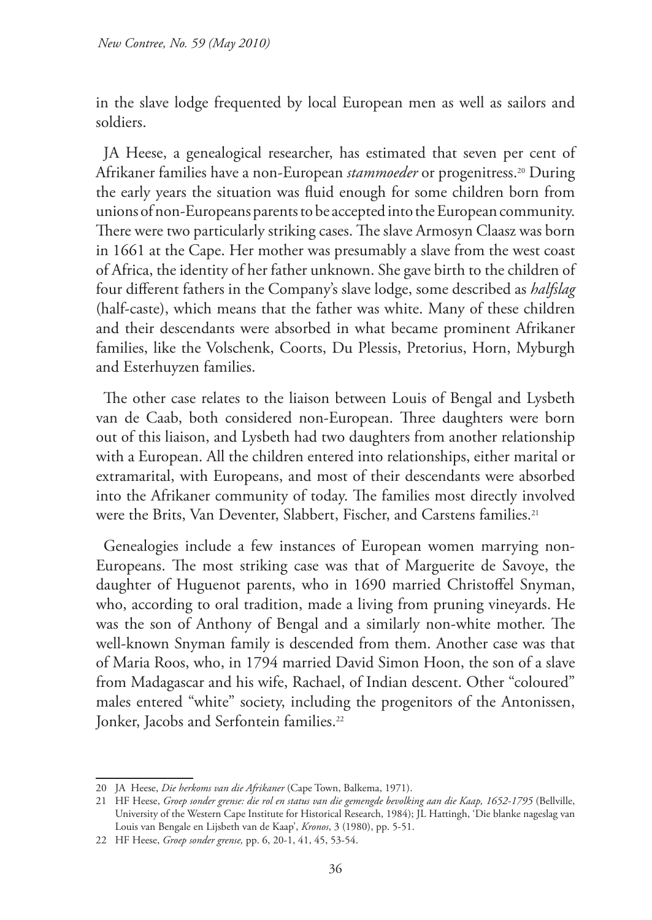in the slave lodge frequented by local European men as well as sailors and soldiers.

JA Heese, a genealogical researcher, has estimated that seven per cent of Afrikaner families have a non-European *stammoeder* or progenitress.20 During the early years the situation was fluid enough for some children born from unions of non-Europeans parents to be accepted into the European community. There were two particularly striking cases. The slave Armosyn Claasz was born in 1661 at the Cape. Her mother was presumably a slave from the west coast of Africa, the identity of her father unknown. She gave birth to the children of four different fathers in the Company's slave lodge, some described as *halfslag* (half-caste), which means that the father was white. Many of these children and their descendants were absorbed in what became prominent Afrikaner families, like the Volschenk, Coorts, Du Plessis, Pretorius, Horn, Myburgh and Esterhuyzen families.

The other case relates to the liaison between Louis of Bengal and Lysbeth van de Caab, both considered non-European. Three daughters were born out of this liaison, and Lysbeth had two daughters from another relationship with a European. All the children entered into relationships, either marital or extramarital, with Europeans, and most of their descendants were absorbed into the Afrikaner community of today. The families most directly involved were the Brits, Van Deventer, Slabbert, Fischer, and Carstens families.<sup>21</sup>

Genealogies include a few instances of European women marrying non-Europeans. The most striking case was that of Marguerite de Savoye, the daughter of Huguenot parents, who in 1690 married Christoffel Snyman, who, according to oral tradition, made a living from pruning vineyards. He was the son of Anthony of Bengal and a similarly non-white mother. The well-known Snyman family is descended from them. Another case was that of Maria Roos, who, in 1794 married David Simon Hoon, the son of a slave from Madagascar and his wife, Rachael, of Indian descent. Other "coloured" males entered "white" society, including the progenitors of the Antonissen, Jonker, Jacobs and Serfontein families.<sup>22</sup>

<sup>20</sup> JA Heese, *Die herkoms van die Afrikaner* (Cape Town, Balkema, 1971).

<sup>21</sup> HF Heese, *Groep sonder grense: die rol en status van die gemengde bevolking aan die Kaap, 1652-1795* (Bellville, University of the Western Cape Institute for Historical Research, 1984); JL Hattingh, 'Die blanke nageslag van Louis van Bengale en Lijsbeth van de Kaap', *Kronos*, 3 (1980), pp. 5-51.

<sup>22</sup> HF Heese, *Groep sonder grense,* pp. 6, 20-1, 41, 45, 53-54.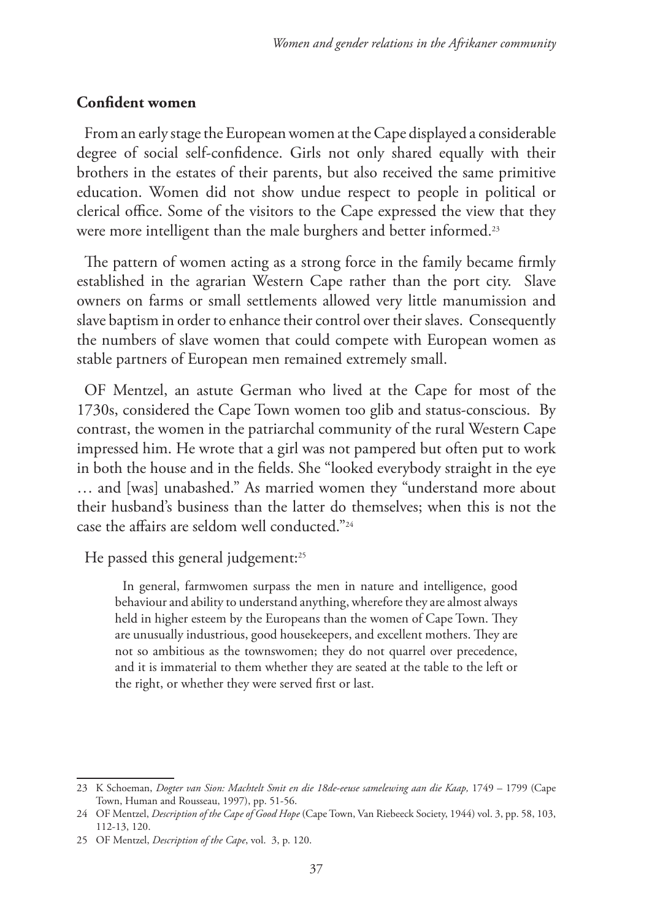## **Confident women**

From an early stage the European women at the Cape displayed a considerable degree of social self-confidence. Girls not only shared equally with their brothers in the estates of their parents, but also received the same primitive education. Women did not show undue respect to people in political or clerical office. Some of the visitors to the Cape expressed the view that they were more intelligent than the male burghers and better informed.<sup>23</sup>

The pattern of women acting as a strong force in the family became firmly established in the agrarian Western Cape rather than the port city. Slave owners on farms or small settlements allowed very little manumission and slave baptism in order to enhance their control over their slaves. Consequently the numbers of slave women that could compete with European women as stable partners of European men remained extremely small.

OF Mentzel, an astute German who lived at the Cape for most of the 1730s, considered the Cape Town women too glib and status-conscious. By contrast, the women in the patriarchal community of the rural Western Cape impressed him. He wrote that a girl was not pampered but often put to work in both the house and in the fields. She "looked everybody straight in the eye … and [was] unabashed." As married women they "understand more about their husband's business than the latter do themselves; when this is not the case the affairs are seldom well conducted."24

He passed this general judgement:<sup>25</sup>

In general, farmwomen surpass the men in nature and intelligence, good behaviour and ability to understand anything, wherefore they are almost always held in higher esteem by the Europeans than the women of Cape Town. They are unusually industrious, good housekeepers, and excellent mothers. They are not so ambitious as the townswomen; they do not quarrel over precedence, and it is immaterial to them whether they are seated at the table to the left or the right, or whether they were served first or last.

<sup>23</sup> K Schoeman, *Dogter van Sion: Machtelt Smit en die 18de-eeuse samelewing aan die Kaap*, 1749 – 1799 (Cape Town, Human and Rousseau, 1997), pp. 51-56.

<sup>24</sup> OF Mentzel, *Description of the Cape of Good Hope* (Cape Town, Van Riebeeck Society, 1944) vol. 3, pp. 58, 103, 112-13, 120.

<sup>25</sup> OF Mentzel, *Description of the Cape*, vol. 3, p. 120.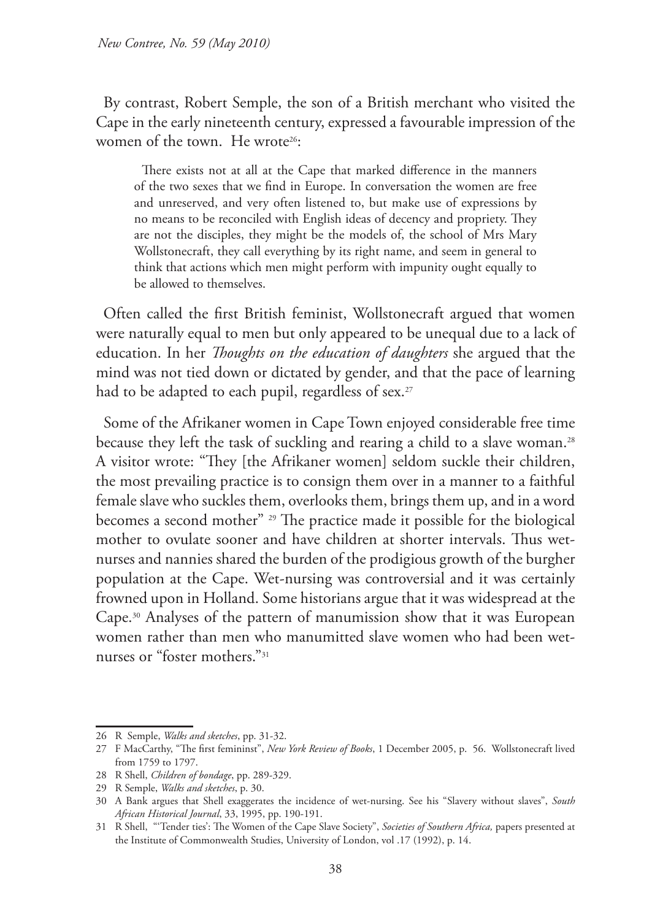By contrast, Robert Semple, the son of a British merchant who visited the Cape in the early nineteenth century, expressed a favourable impression of the women of the town. He wrote<sup>26</sup>:

There exists not at all at the Cape that marked difference in the manners of the two sexes that we find in Europe. In conversation the women are free and unreserved, and very often listened to, but make use of expressions by no means to be reconciled with English ideas of decency and propriety. They are not the disciples, they might be the models of, the school of Mrs Mary Wollstonecraft, they call everything by its right name, and seem in general to think that actions which men might perform with impunity ought equally to be allowed to themselves.

Often called the first British feminist, Wollstonecraft argued that women were naturally equal to men but only appeared to be unequal due to a lack of education. In her *Thoughts on the education of daughters* she argued that the mind was not tied down or dictated by gender, and that the pace of learning had to be adapted to each pupil, regardless of sex.<sup>27</sup>

Some of the Afrikaner women in Cape Town enjoyed considerable free time because they left the task of suckling and rearing a child to a slave woman.<sup>28</sup> A visitor wrote: "They [the Afrikaner women] seldom suckle their children, the most prevailing practice is to consign them over in a manner to a faithful female slave who suckles them, overlooks them, brings them up, and in a word becomes a second mother" 29 The practice made it possible for the biological mother to ovulate sooner and have children at shorter intervals. Thus wetnurses and nannies shared the burden of the prodigious growth of the burgher population at the Cape. Wet-nursing was controversial and it was certainly frowned upon in Holland. Some historians argue that it was widespread at the Cape.30 Analyses of the pattern of manumission show that it was European women rather than men who manumitted slave women who had been wetnurses or "foster mothers."31

<sup>26</sup> R Semple, *Walks and sketches*, pp. 31-32.

<sup>27</sup> F MacCarthy, "The first femininst", *New York Review of Books*, 1 December 2005, p. 56. Wollstonecraft lived from 1759 to 1797.

<sup>28</sup> R Shell, *Children of bondage*, pp. 289-329.

<sup>29</sup> R Semple, *Walks and sketches*, p. 30.

<sup>30</sup> A Bank argues that Shell exaggerates the incidence of wet-nursing. See his "Slavery without slaves", *South African Historical Journal*, 33, 1995, pp. 190-191.

<sup>31</sup> R Shell, "'Tender ties': The Women of the Cape Slave Society", *Societies of Southern Africa,* papers presented at the Institute of Commonwealth Studies, University of London, vol .17 (1992), p. 14.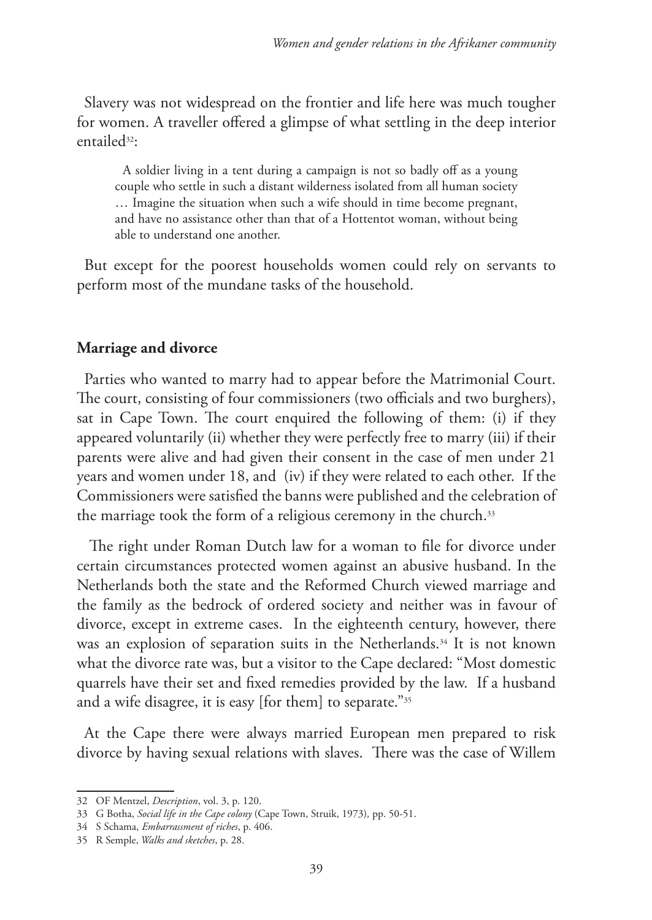Slavery was not widespread on the frontier and life here was much tougher for women. A traveller offered a glimpse of what settling in the deep interior entailed32:

A soldier living in a tent during a campaign is not so badly off as a young couple who settle in such a distant wilderness isolated from all human society … Imagine the situation when such a wife should in time become pregnant, and have no assistance other than that of a Hottentot woman, without being able to understand one another.

But except for the poorest households women could rely on servants to perform most of the mundane tasks of the household.

#### **Marriage and divorce**

Parties who wanted to marry had to appear before the Matrimonial Court. The court, consisting of four commissioners (two officials and two burghers), sat in Cape Town. The court enquired the following of them: (i) if they appeared voluntarily (ii) whether they were perfectly free to marry (iii) if their parents were alive and had given their consent in the case of men under 21 years and women under 18, and (iv) if they were related to each other. If the Commissioners were satisfied the banns were published and the celebration of the marriage took the form of a religious ceremony in the church.<sup>33</sup>

 The right under Roman Dutch law for a woman to file for divorce under certain circumstances protected women against an abusive husband. In the Netherlands both the state and the Reformed Church viewed marriage and the family as the bedrock of ordered society and neither was in favour of divorce, except in extreme cases. In the eighteenth century, however, there was an explosion of separation suits in the Netherlands.<sup>34</sup> It is not known what the divorce rate was, but a visitor to the Cape declared: "Most domestic quarrels have their set and fixed remedies provided by the law. If a husband and a wife disagree, it is easy [for them] to separate."35

At the Cape there were always married European men prepared to risk divorce by having sexual relations with slaves. There was the case of Willem

<sup>32</sup> OF Mentzel, *Description*, vol. 3, p. 120.

<sup>33</sup> G Botha, *Social life in the Cape colony* (Cape Town, Struik, 1973)*,* pp. 50-51.

<sup>34</sup> S Schama, *Embarrassment of riches*, p. 406.

<sup>35</sup> R Semple, *Walks and sketches*, p. 28.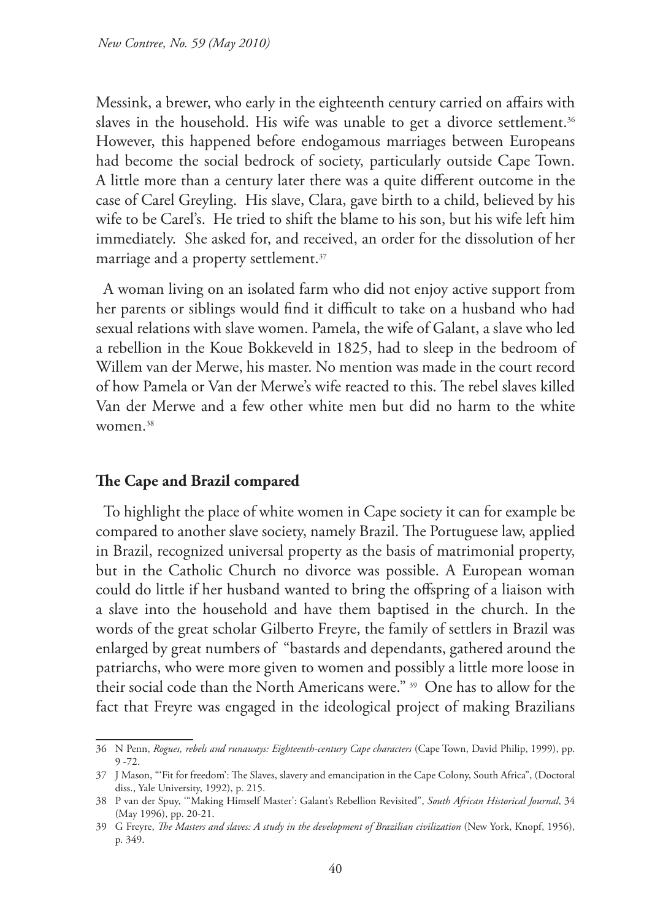Messink, a brewer, who early in the eighteenth century carried on affairs with slaves in the household. His wife was unable to get a divorce settlement.<sup>36</sup> However, this happened before endogamous marriages between Europeans had become the social bedrock of society, particularly outside Cape Town. A little more than a century later there was a quite different outcome in the case of Carel Greyling. His slave, Clara, gave birth to a child, believed by his wife to be Carel's. He tried to shift the blame to his son, but his wife left him immediately. She asked for, and received, an order for the dissolution of her marriage and a property settlement.<sup>37</sup>

A woman living on an isolated farm who did not enjoy active support from her parents or siblings would find it difficult to take on a husband who had sexual relations with slave women. Pamela, the wife of Galant, a slave who led a rebellion in the Koue Bokkeveld in 1825, had to sleep in the bedroom of Willem van der Merwe, his master. No mention was made in the court record of how Pamela or Van der Merwe's wife reacted to this. The rebel slaves killed Van der Merwe and a few other white men but did no harm to the white women.38

#### **The Cape and Brazil compared**

To highlight the place of white women in Cape society it can for example be compared to another slave society, namely Brazil. The Portuguese law, applied in Brazil, recognized universal property as the basis of matrimonial property, but in the Catholic Church no divorce was possible. A European woman could do little if her husband wanted to bring the offspring of a liaison with a slave into the household and have them baptised in the church. In the words of the great scholar Gilberto Freyre, the family of settlers in Brazil was enlarged by great numbers of "bastards and dependants, gathered around the patriarchs, who were more given to women and possibly a little more loose in their social code than the North Americans were." 39 One has to allow for the fact that Freyre was engaged in the ideological project of making Brazilians

<sup>36</sup> N Penn, *Rogues, rebels and runaways: Eighteenth-century Cape characters* (Cape Town, David Philip, 1999), pp. 9 -72.

<sup>37</sup> J Mason, "'Fit for freedom': The Slaves, slavery and emancipation in the Cape Colony, South Africa", (Doctoral diss., Yale University, 1992), p. 215.

<sup>38</sup> P van der Spuy, '"Making Himself Master': Galant's Rebellion Revisited", *South African Historical Journal*, 34 (May 1996), pp. 20-21.

<sup>39</sup> G Freyre, *The Masters and slaves: A study in the development of Brazilian civilization* (New York, Knopf, 1956), p. 349.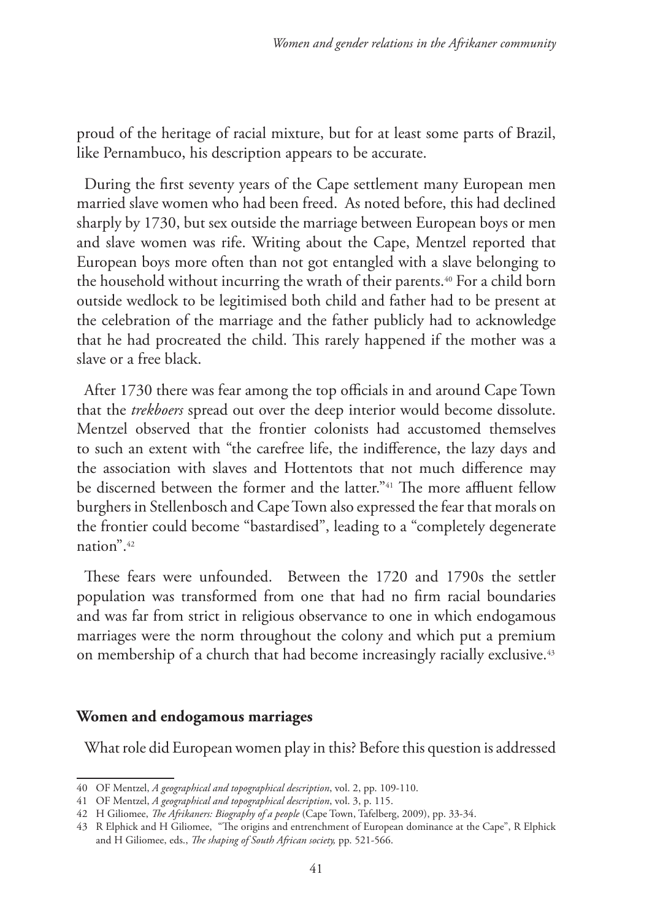proud of the heritage of racial mixture, but for at least some parts of Brazil, like Pernambuco, his description appears to be accurate.

During the first seventy years of the Cape settlement many European men married slave women who had been freed. As noted before, this had declined sharply by 1730, but sex outside the marriage between European boys or men and slave women was rife. Writing about the Cape, Mentzel reported that European boys more often than not got entangled with a slave belonging to the household without incurring the wrath of their parents.<sup>40</sup> For a child born outside wedlock to be legitimised both child and father had to be present at the celebration of the marriage and the father publicly had to acknowledge that he had procreated the child. This rarely happened if the mother was a slave or a free black.

After 1730 there was fear among the top officials in and around Cape Town that the *trekboers* spread out over the deep interior would become dissolute. Mentzel observed that the frontier colonists had accustomed themselves to such an extent with "the carefree life, the indifference, the lazy days and the association with slaves and Hottentots that not much difference may be discerned between the former and the latter."<sup>41</sup> The more affluent fellow burghers in Stellenbosch and Cape Town also expressed the fear that morals on the frontier could become "bastardised", leading to a "completely degenerate nation".42

These fears were unfounded. Between the 1720 and 1790s the settler population was transformed from one that had no firm racial boundaries and was far from strict in religious observance to one in which endogamous marriages were the norm throughout the colony and which put a premium on membership of a church that had become increasingly racially exclusive.43

#### **Women and endogamous marriages**

What role did European women play in this? Before this question is addressed

<sup>40</sup> OF Mentzel, *A geographical and topographical description*, vol. 2, pp. 109-110.

<sup>41</sup> OF Mentzel, *A geographical and topographical description*, vol. 3, p. 115.

<sup>42</sup> H Giliomee, *The Afrikaners: Biography of a people* (Cape Town, Tafelberg, 2009), pp. 33-34.

<sup>43</sup> R Elphick and H Giliomee, "The origins and entrenchment of European dominance at the Cape", R Elphick and H Giliomee, eds., *The shaping of South African society,* pp. 521-566.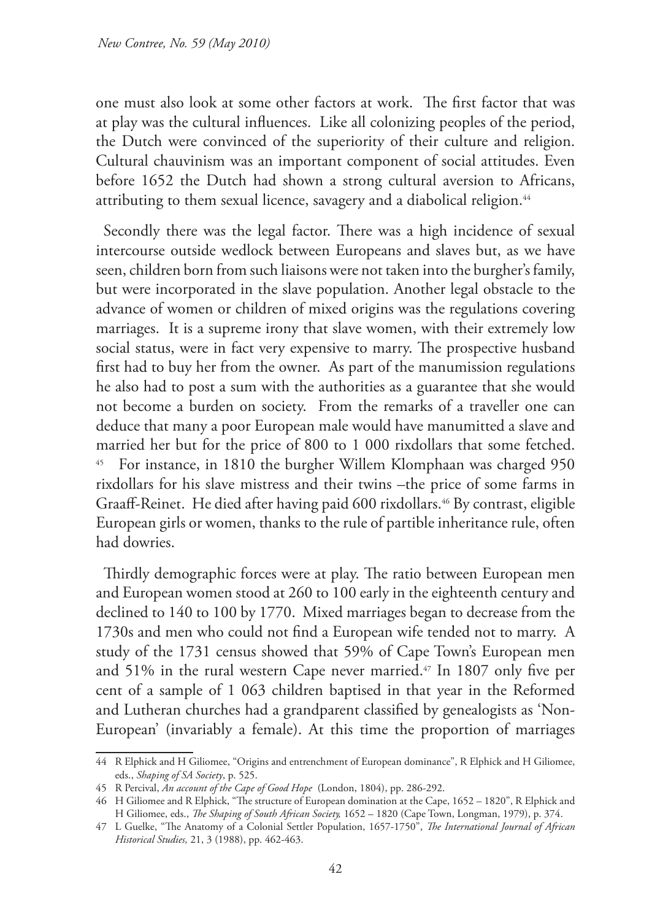one must also look at some other factors at work. The first factor that was at play was the cultural influences. Like all colonizing peoples of the period, the Dutch were convinced of the superiority of their culture and religion. Cultural chauvinism was an important component of social attitudes. Even before 1652 the Dutch had shown a strong cultural aversion to Africans, attributing to them sexual licence, savagery and a diabolical religion.<sup>44</sup>

Secondly there was the legal factor. There was a high incidence of sexual intercourse outside wedlock between Europeans and slaves but, as we have seen, children born from such liaisons were not taken into the burgher's family, but were incorporated in the slave population. Another legal obstacle to the advance of women or children of mixed origins was the regulations covering marriages. It is a supreme irony that slave women, with their extremely low social status, were in fact very expensive to marry. The prospective husband first had to buy her from the owner. As part of the manumission regulations he also had to post a sum with the authorities as a guarantee that she would not become a burden on society. From the remarks of a traveller one can deduce that many a poor European male would have manumitted a slave and married her but for the price of 800 to 1 000 rixdollars that some fetched. 45 For instance, in 1810 the burgher Willem Klomphaan was charged 950 rixdollars for his slave mistress and their twins –the price of some farms in Graaff-Reinet. He died after having paid 600 rixdollars.<sup>46</sup> By contrast, eligible European girls or women, thanks to the rule of partible inheritance rule, often had dowries.

Thirdly demographic forces were at play. The ratio between European men and European women stood at 260 to 100 early in the eighteenth century and declined to 140 to 100 by 1770. Mixed marriages began to decrease from the 1730s and men who could not find a European wife tended not to marry. A study of the 1731 census showed that 59% of Cape Town's European men and 51% in the rural western Cape never married.<sup>47</sup> In 1807 only five per cent of a sample of 1 063 children baptised in that year in the Reformed and Lutheran churches had a grandparent classified by genealogists as 'Non-European' (invariably a female). At this time the proportion of marriages

<sup>44</sup> R Elphick and H Giliomee, "Origins and entrenchment of European dominance", R Elphick and H Giliomee, eds., *Shaping of SA Society*, p. 525.

<sup>45</sup> R Percival, *An account of the Cape of Good Hope* (London, 1804), pp. 286-292.

<sup>46</sup> H Giliomee and R Elphick, "The structure of European domination at the Cape, 1652 – 1820", R Elphick and H Giliomee, eds., *The Shaping of South African Society,* 1652 – 1820 (Cape Town, Longman, 1979), p. 374.

<sup>47</sup> L Guelke, "The Anatomy of a Colonial Settler Population, 1657-1750", *The International Journal of African Historical Studies,* 21, 3 (1988), pp. 462-463.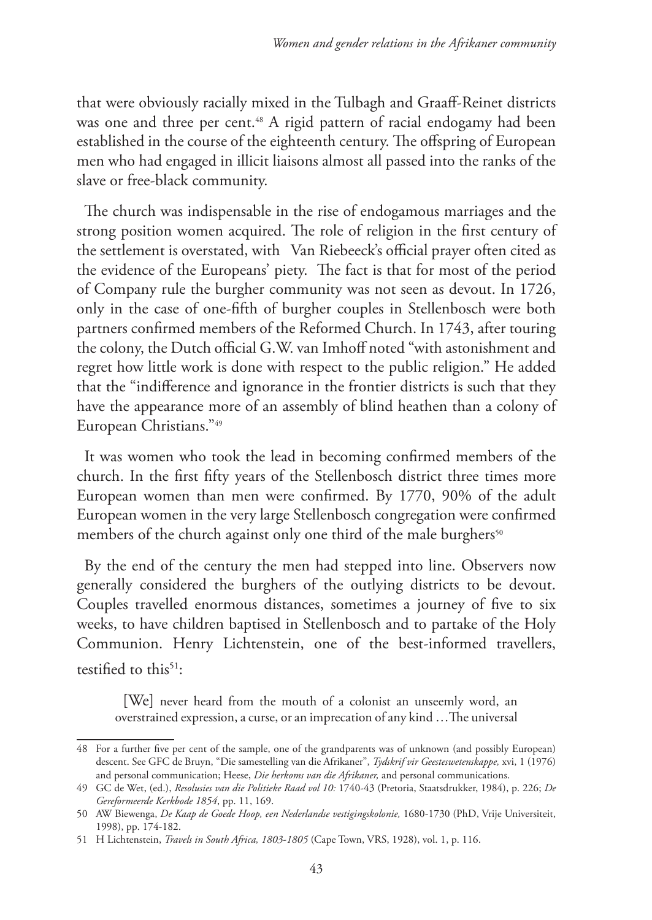that were obviously racially mixed in the Tulbagh and Graaff-Reinet districts was one and three per cent.<sup>48</sup> A rigid pattern of racial endogamy had been established in the course of the eighteenth century. The offspring of European men who had engaged in illicit liaisons almost all passed into the ranks of the slave or free-black community.

The church was indispensable in the rise of endogamous marriages and the strong position women acquired. The role of religion in the first century of the settlement is overstated, with Van Riebeeck's official prayer often cited as the evidence of the Europeans' piety. The fact is that for most of the period of Company rule the burgher community was not seen as devout. In 1726, only in the case of one-fifth of burgher couples in Stellenbosch were both partners confirmed members of the Reformed Church. In 1743, after touring the colony, the Dutch official G.W. van Imhoff noted "with astonishment and regret how little work is done with respect to the public religion." He added that the "indifference and ignorance in the frontier districts is such that they have the appearance more of an assembly of blind heathen than a colony of European Christians."49

It was women who took the lead in becoming confirmed members of the church. In the first fifty years of the Stellenbosch district three times more European women than men were confirmed. By 1770, 90% of the adult European women in the very large Stellenbosch congregation were confirmed members of the church against only one third of the male burghers<sup>50</sup>

By the end of the century the men had stepped into line. Observers now generally considered the burghers of the outlying districts to be devout. Couples travelled enormous distances, sometimes a journey of five to six weeks, to have children baptised in Stellenbosch and to partake of the Holy Communion. Henry Lichtenstein, one of the best-informed travellers, testified to this<sup>51</sup>:

[We] never heard from the mouth of a colonist an unseemly word, an overstrained expression, a curse, or an imprecation of any kind …The universal

<sup>48</sup> For a further five per cent of the sample, one of the grandparents was of unknown (and possibly European) descent. See GFC de Bruyn, "Die samestelling van die Afrikaner", *Tydskrif vir Geesteswetenskappe,* xvi, 1 (1976) and personal communication; Heese, *Die herkoms van die Afrikaner,* and personal communications.

<sup>49</sup> GC de Wet, (ed.), *Resolusies van die Politieke Raad vol 10:* 1740-43 (Pretoria, Staatsdrukker, 1984), p. 226; *De Gereformeerde Kerkbode 1854*, pp. 11, 169.

<sup>50</sup> AW Biewenga, *De Kaap de Goede Hoop, een Nederlandse vestigingskolonie,* 1680-1730 (PhD, Vrije Universiteit, 1998), pp. 174-182.

<sup>51</sup> H Lichtenstein, *Travels in South Africa, 1803-1805* (Cape Town, VRS, 1928), vol. 1, p. 116.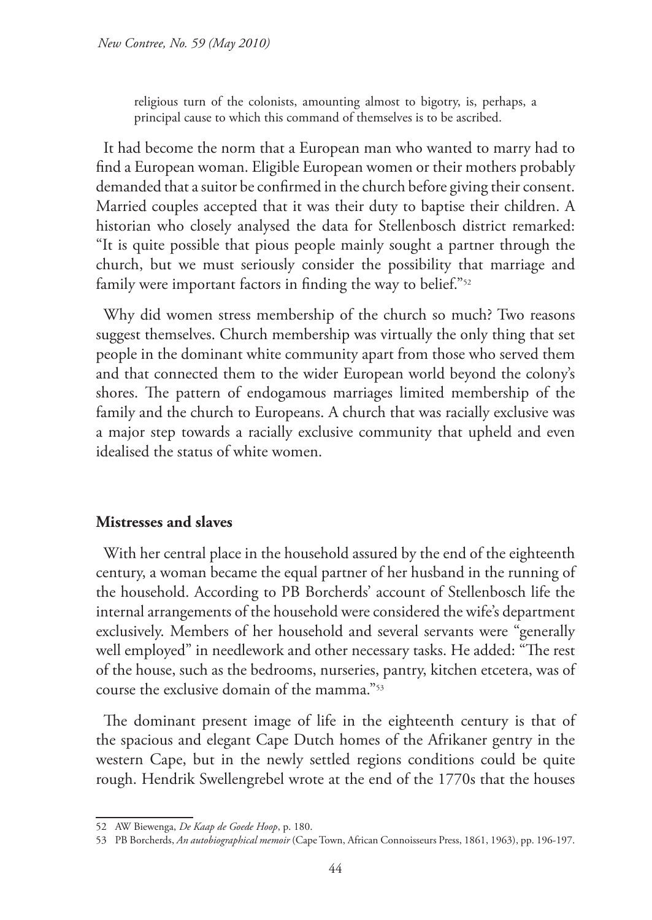religious turn of the colonists, amounting almost to bigotry, is, perhaps, a principal cause to which this command of themselves is to be ascribed.

It had become the norm that a European man who wanted to marry had to find a European woman. Eligible European women or their mothers probably demanded that a suitor be confirmed in the church before giving their consent. Married couples accepted that it was their duty to baptise their children. A historian who closely analysed the data for Stellenbosch district remarked: "It is quite possible that pious people mainly sought a partner through the church, but we must seriously consider the possibility that marriage and family were important factors in finding the way to belief."<sup>52</sup>

Why did women stress membership of the church so much? Two reasons suggest themselves. Church membership was virtually the only thing that set people in the dominant white community apart from those who served them and that connected them to the wider European world beyond the colony's shores. The pattern of endogamous marriages limited membership of the family and the church to Europeans. A church that was racially exclusive was a major step towards a racially exclusive community that upheld and even idealised the status of white women.

#### **Mistresses and slaves**

With her central place in the household assured by the end of the eighteenth century, a woman became the equal partner of her husband in the running of the household. According to PB Borcherds' account of Stellenbosch life the internal arrangements of the household were considered the wife's department exclusively. Members of her household and several servants were "generally well employed" in needlework and other necessary tasks. He added: "The rest of the house, such as the bedrooms, nurseries, pantry, kitchen etcetera, was of course the exclusive domain of the mamma."53

The dominant present image of life in the eighteenth century is that of the spacious and elegant Cape Dutch homes of the Afrikaner gentry in the western Cape, but in the newly settled regions conditions could be quite rough. Hendrik Swellengrebel wrote at the end of the 1770s that the houses

<sup>52</sup> AW Biewenga, *De Kaap de Goede Hoop*, p. 180.

<sup>53</sup> PB Borcherds, *An autobiographical memoir* (Cape Town, African Connoisseurs Press, 1861, 1963), pp. 196-197.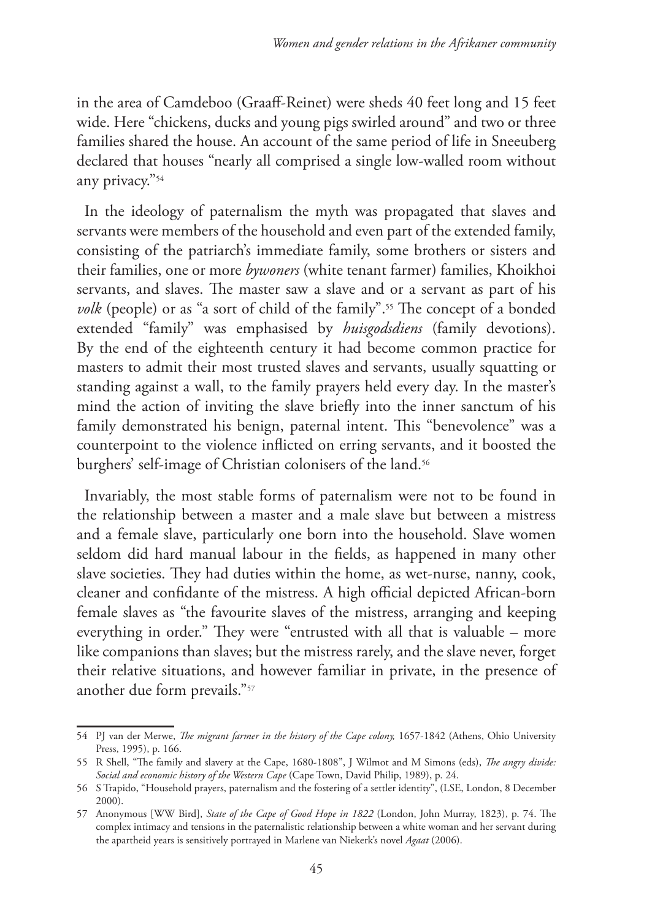in the area of Camdeboo (Graaff-Reinet) were sheds 40 feet long and 15 feet wide. Here "chickens, ducks and young pigs swirled around" and two or three families shared the house. An account of the same period of life in Sneeuberg declared that houses "nearly all comprised a single low-walled room without any privacy."54

In the ideology of paternalism the myth was propagated that slaves and servants were members of the household and even part of the extended family, consisting of the patriarch's immediate family, some brothers or sisters and their families, one or more *bywoners* (white tenant farmer) families, Khoikhoi servants, and slaves. The master saw a slave and or a servant as part of his *volk* (people) or as "a sort of child of the family".<sup>55</sup> The concept of a bonded extended "family" was emphasised by *huisgodsdiens* (family devotions). By the end of the eighteenth century it had become common practice for masters to admit their most trusted slaves and servants, usually squatting or standing against a wall, to the family prayers held every day. In the master's mind the action of inviting the slave briefly into the inner sanctum of his family demonstrated his benign, paternal intent. This "benevolence" was a counterpoint to the violence inflicted on erring servants, and it boosted the burghers' self-image of Christian colonisers of the land.<sup>56</sup>

Invariably, the most stable forms of paternalism were not to be found in the relationship between a master and a male slave but between a mistress and a female slave, particularly one born into the household. Slave women seldom did hard manual labour in the fields, as happened in many other slave societies. They had duties within the home, as wet-nurse, nanny, cook, cleaner and confidante of the mistress. A high official depicted African-born female slaves as "the favourite slaves of the mistress, arranging and keeping everything in order." They were "entrusted with all that is valuable – more like companions than slaves; but the mistress rarely, and the slave never, forget their relative situations, and however familiar in private, in the presence of another due form prevails."57

<sup>54</sup> PJ van der Merwe, *The migrant farmer in the history of the Cape colony,* 1657-1842 (Athens, Ohio University Press, 1995), p. 166.

<sup>55</sup> R Shell, "The family and slavery at the Cape, 1680-1808", J Wilmot and M Simons (eds), *The angry divide: Social and economic history of the Western Cape* (Cape Town, David Philip, 1989), p. 24.

<sup>56</sup> S Trapido, "Household prayers, paternalism and the fostering of a settler identity", (LSE, London, 8 December 2000).

<sup>57</sup> Anonymous [WW Bird], *State of the Cape of Good Hope in 1822* (London, John Murray, 1823), p. 74. The complex intimacy and tensions in the paternalistic relationship between a white woman and her servant during the apartheid years is sensitively portrayed in Marlene van Niekerk's novel *Agaat* (2006).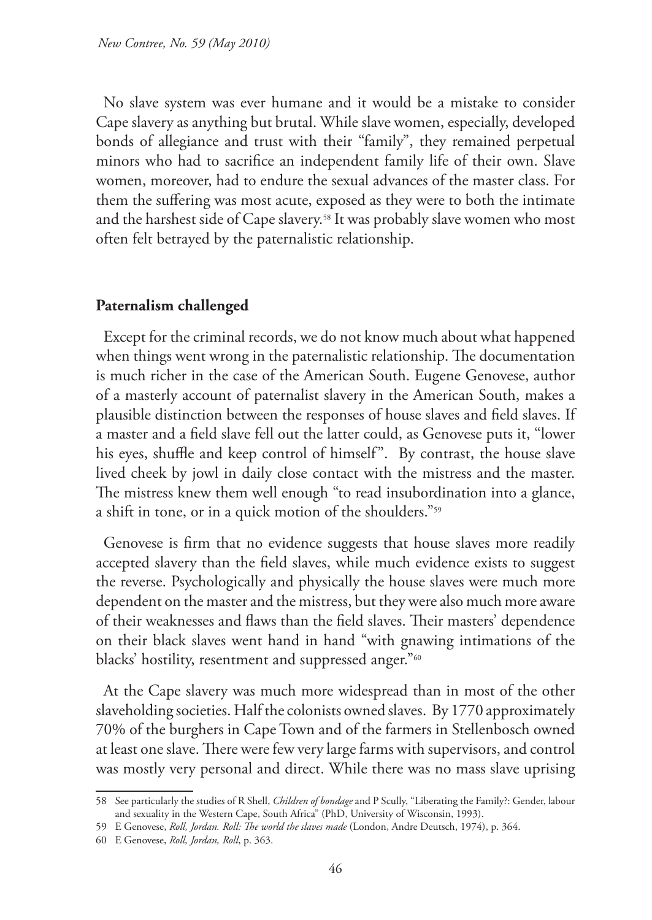No slave system was ever humane and it would be a mistake to consider Cape slavery as anything but brutal. While slave women, especially, developed bonds of allegiance and trust with their "family", they remained perpetual minors who had to sacrifice an independent family life of their own. Slave women, moreover, had to endure the sexual advances of the master class. For them the suffering was most acute, exposed as they were to both the intimate and the harshest side of Cape slavery.58 It was probably slave women who most often felt betrayed by the paternalistic relationship.

# **Paternalism challenged**

Except for the criminal records, we do not know much about what happened when things went wrong in the paternalistic relationship. The documentation is much richer in the case of the American South. Eugene Genovese, author of a masterly account of paternalist slavery in the American South, makes a plausible distinction between the responses of house slaves and field slaves. If a master and a field slave fell out the latter could, as Genovese puts it, "lower his eyes, shuffle and keep control of himself". By contrast, the house slave lived cheek by jowl in daily close contact with the mistress and the master. The mistress knew them well enough "to read insubordination into a glance, a shift in tone, or in a quick motion of the shoulders."59

Genovese is firm that no evidence suggests that house slaves more readily accepted slavery than the field slaves, while much evidence exists to suggest the reverse. Psychologically and physically the house slaves were much more dependent on the master and the mistress, but they were also much more aware of their weaknesses and flaws than the field slaves. Their masters' dependence on their black slaves went hand in hand "with gnawing intimations of the blacks' hostility, resentment and suppressed anger."<sup>60</sup>

At the Cape slavery was much more widespread than in most of the other slaveholding societies. Half the colonists owned slaves. By 1770 approximately 70% of the burghers in Cape Town and of the farmers in Stellenbosch owned at least one slave. There were few very large farms with supervisors, and control was mostly very personal and direct. While there was no mass slave uprising

<sup>58</sup> See particularly the studies of R Shell, *Children of bondage* and P Scully, "Liberating the Family?: Gender, labour and sexuality in the Western Cape, South Africa" (PhD, University of Wisconsin, 1993).

<sup>59</sup> E Genovese, *Roll, Jordan. Roll: The world the slaves made* (London, Andre Deutsch, 1974), p. 364.

<sup>60</sup> E Genovese, *Roll, Jordan, Roll*, p. 363.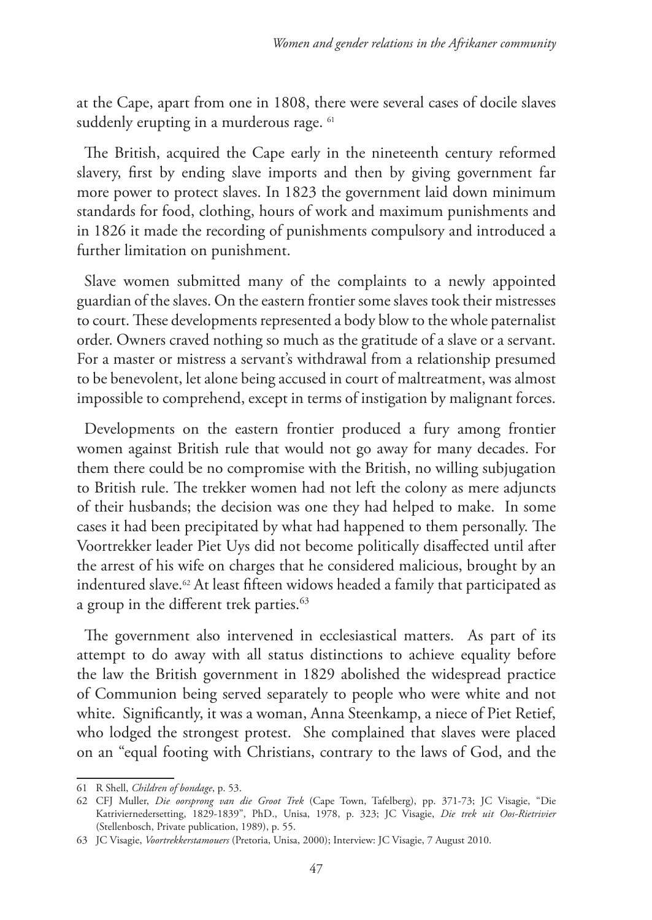at the Cape, apart from one in 1808, there were several cases of docile slaves suddenly erupting in a murderous rage. <sup>61</sup>

The British, acquired the Cape early in the nineteenth century reformed slavery, first by ending slave imports and then by giving government far more power to protect slaves. In 1823 the government laid down minimum standards for food, clothing, hours of work and maximum punishments and in 1826 it made the recording of punishments compulsory and introduced a further limitation on punishment.

Slave women submitted many of the complaints to a newly appointed guardian of the slaves. On the eastern frontier some slaves took their mistresses to court. These developments represented a body blow to the whole paternalist order. Owners craved nothing so much as the gratitude of a slave or a servant. For a master or mistress a servant's withdrawal from a relationship presumed to be benevolent, let alone being accused in court of maltreatment, was almost impossible to comprehend, except in terms of instigation by malignant forces.

Developments on the eastern frontier produced a fury among frontier women against British rule that would not go away for many decades. For them there could be no compromise with the British, no willing subjugation to British rule. The trekker women had not left the colony as mere adjuncts of their husbands; the decision was one they had helped to make. In some cases it had been precipitated by what had happened to them personally. The Voortrekker leader Piet Uys did not become politically disaffected until after the arrest of his wife on charges that he considered malicious, brought by an indentured slave.<sup>62</sup> At least fifteen widows headed a family that participated as a group in the different trek parties.<sup>63</sup>

The government also intervened in ecclesiastical matters. As part of its attempt to do away with all status distinctions to achieve equality before the law the British government in 1829 abolished the widespread practice of Communion being served separately to people who were white and not white. Significantly, it was a woman, Anna Steenkamp, a niece of Piet Retief, who lodged the strongest protest. She complained that slaves were placed on an "equal footing with Christians, contrary to the laws of God, and the

<sup>61</sup> R Shell, *Children of bondage*, p. 53.

<sup>62</sup> CFJ Muller, *Die oorsprong van die Groot Trek* (Cape Town, Tafelberg), pp. 371-73; JC Visagie, "Die Katriviernedersetting, 1829-1839", PhD., Unisa, 1978, p. 323; JC Visagie, *Die trek uit Oos-Rietrivier*  (Stellenbosch, Private publication, 1989), p. 55.

<sup>63</sup> JC Visagie, *Voortrekkerstamouers* (Pretoria, Unisa, 2000); Interview: JC Visagie, 7 August 2010.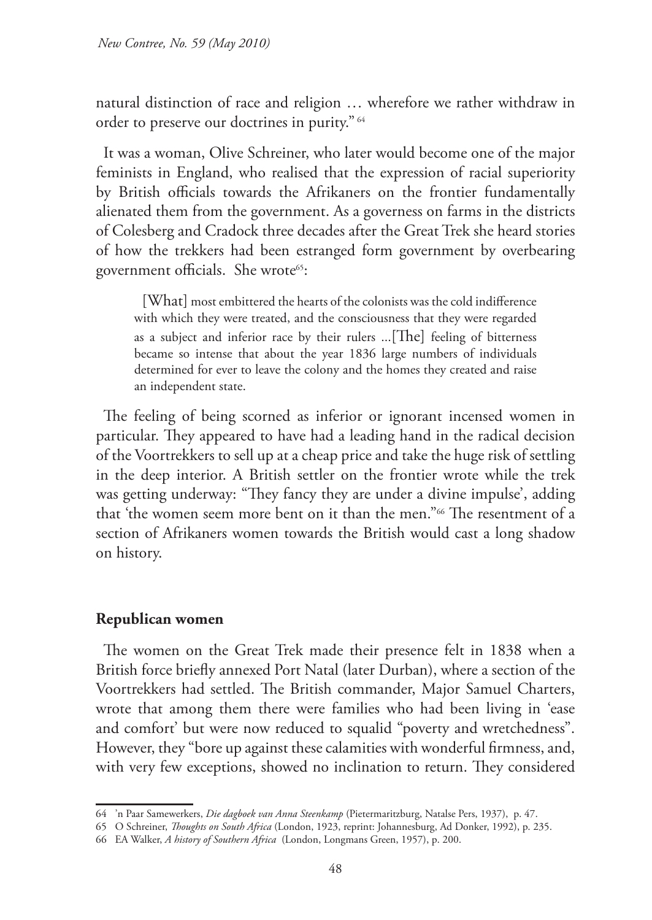natural distinction of race and religion … wherefore we rather withdraw in order to preserve our doctrines in purity." <sup>64</sup>

It was a woman, Olive Schreiner, who later would become one of the major feminists in England, who realised that the expression of racial superiority by British officials towards the Afrikaners on the frontier fundamentally alienated them from the government. As a governess on farms in the districts of Colesberg and Cradock three decades after the Great Trek she heard stories of how the trekkers had been estranged form government by overbearing government officials. She wrote<sup>65</sup>:

[What] most embittered the hearts of the colonists was the cold indifference with which they were treated, and the consciousness that they were regarded as a subject and inferior race by their rulers ...[The] feeling of bitterness became so intense that about the year 1836 large numbers of individuals determined for ever to leave the colony and the homes they created and raise an independent state.

The feeling of being scorned as inferior or ignorant incensed women in particular. They appeared to have had a leading hand in the radical decision of the Voortrekkers to sell up at a cheap price and take the huge risk of settling in the deep interior. A British settler on the frontier wrote while the trek was getting underway: "They fancy they are under a divine impulse', adding that 'the women seem more bent on it than the men."66 The resentment of a section of Afrikaners women towards the British would cast a long shadow on history.

#### **Republican women**

The women on the Great Trek made their presence felt in 1838 when a British force briefly annexed Port Natal (later Durban), where a section of the Voortrekkers had settled. The British commander, Major Samuel Charters, wrote that among them there were families who had been living in 'ease and comfort' but were now reduced to squalid "poverty and wretchedness". However, they "bore up against these calamities with wonderful firmness, and, with very few exceptions, showed no inclination to return. They considered

<sup>64</sup> 'n Paar Samewerkers, *Die dagboek van Anna Steenkamp* (Pietermaritzburg, Natalse Pers, 1937), p. 47.

<sup>65</sup> O Schreiner, *Thoughts on South Africa* (London, 1923, reprint: Johannesburg, Ad Donker, 1992), p. 235.

<sup>66</sup> EA Walker, *A history of Southern Africa* (London, Longmans Green, 1957), p. 200.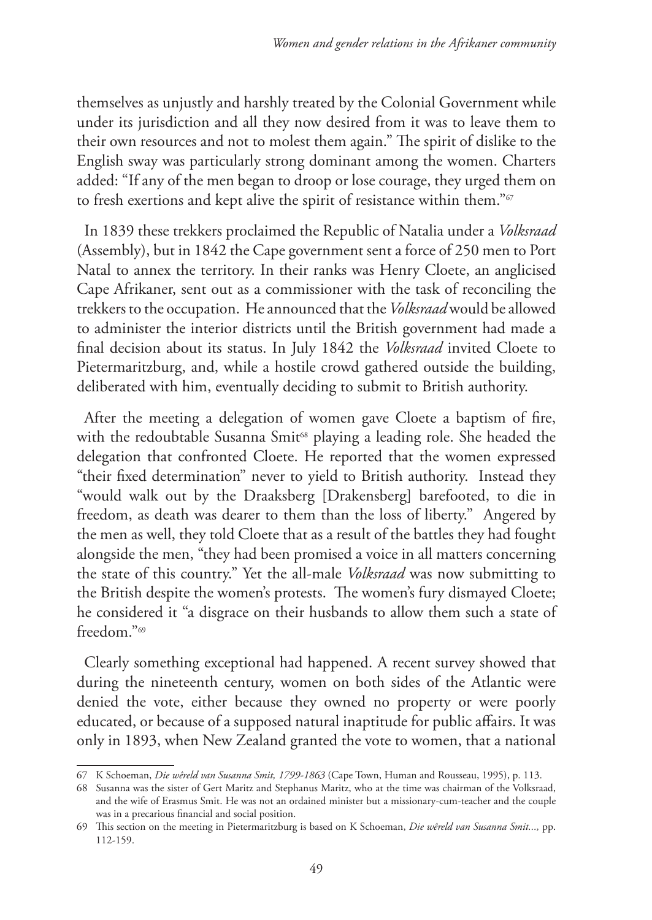themselves as unjustly and harshly treated by the Colonial Government while under its jurisdiction and all they now desired from it was to leave them to their own resources and not to molest them again." The spirit of dislike to the English sway was particularly strong dominant among the women. Charters added: "If any of the men began to droop or lose courage, they urged them on to fresh exertions and kept alive the spirit of resistance within them."<sup>67</sup>

In 1839 these trekkers proclaimed the Republic of Natalia under a *Volksraad* (Assembly), but in 1842 the Cape government sent a force of 250 men to Port Natal to annex the territory. In their ranks was Henry Cloete, an anglicised Cape Afrikaner, sent out as a commissioner with the task of reconciling the trekkers to the occupation. He announced that the *Volksraad* would be allowed to administer the interior districts until the British government had made a final decision about its status. In July 1842 the *Volksraad* invited Cloete to Pietermaritzburg, and, while a hostile crowd gathered outside the building, deliberated with him, eventually deciding to submit to British authority.

After the meeting a delegation of women gave Cloete a baptism of fire, with the redoubtable Susanna Smit<sup>68</sup> playing a leading role. She headed the delegation that confronted Cloete. He reported that the women expressed "their fixed determination" never to yield to British authority. Instead they "would walk out by the Draaksberg [Drakensberg] barefooted, to die in freedom, as death was dearer to them than the loss of liberty." Angered by the men as well, they told Cloete that as a result of the battles they had fought alongside the men, "they had been promised a voice in all matters concerning the state of this country." Yet the all-male *Volksraad* was now submitting to the British despite the women's protests. The women's fury dismayed Cloete; he considered it "a disgrace on their husbands to allow them such a state of freedom."69

Clearly something exceptional had happened. A recent survey showed that during the nineteenth century, women on both sides of the Atlantic were denied the vote, either because they owned no property or were poorly educated, or because of a supposed natural inaptitude for public affairs. It was only in 1893, when New Zealand granted the vote to women, that a national

<sup>67</sup> K Schoeman, *Die wêreld van Susanna Smit, 1799-1863* (Cape Town, Human and Rousseau, 1995), p. 113.

<sup>68</sup> Susanna was the sister of Gert Maritz and Stephanus Maritz, who at the time was chairman of the Volksraad, and the wife of Erasmus Smit. He was not an ordained minister but a missionary-cum-teacher and the couple was in a precarious financial and social position.

<sup>69</sup> This section on the meeting in Pietermaritzburg is based on K Schoeman, *Die wêreld van Susanna Smit...,* pp. 112-159.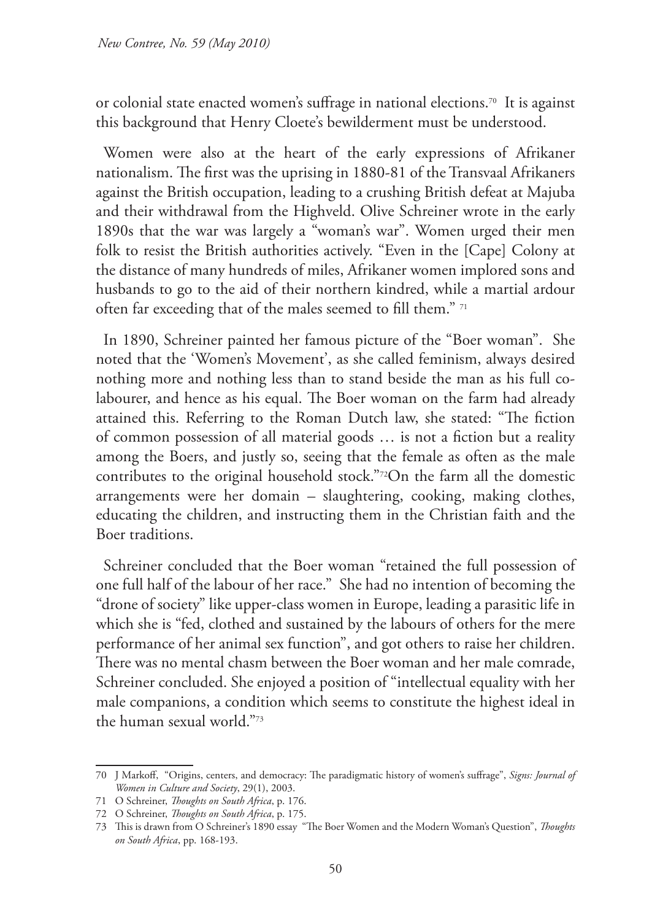or colonial state enacted women's suffrage in national elections.70 It is against this background that Henry Cloete's bewilderment must be understood.

Women were also at the heart of the early expressions of Afrikaner nationalism. The first was the uprising in 1880-81 of the Transvaal Afrikaners against the British occupation, leading to a crushing British defeat at Majuba and their withdrawal from the Highveld. Olive Schreiner wrote in the early 1890s that the war was largely a "woman's war". Women urged their men folk to resist the British authorities actively. "Even in the [Cape] Colony at the distance of many hundreds of miles, Afrikaner women implored sons and husbands to go to the aid of their northern kindred, while a martial ardour often far exceeding that of the males seemed to fill them." 71

In 1890, Schreiner painted her famous picture of the "Boer woman". She noted that the 'Women's Movement', as she called feminism, always desired nothing more and nothing less than to stand beside the man as his full colabourer, and hence as his equal. The Boer woman on the farm had already attained this. Referring to the Roman Dutch law, she stated: "The fiction of common possession of all material goods … is not a fiction but a reality among the Boers, and justly so, seeing that the female as often as the male contributes to the original household stock."72On the farm all the domestic arrangements were her domain – slaughtering, cooking, making clothes, educating the children, and instructing them in the Christian faith and the Boer traditions.

Schreiner concluded that the Boer woman "retained the full possession of one full half of the labour of her race." She had no intention of becoming the "drone of society" like upper-class women in Europe, leading a parasitic life in which she is "fed, clothed and sustained by the labours of others for the mere performance of her animal sex function", and got others to raise her children. There was no mental chasm between the Boer woman and her male comrade, Schreiner concluded. She enjoyed a position of "intellectual equality with her male companions, a condition which seems to constitute the highest ideal in the human sexual world."73

<sup>70</sup> J Markoff, "Origins, centers, and democracy: The paradigmatic history of women's suffrage", *Signs: Journal of Women in Culture and Society*, 29(1), 2003.

<sup>71</sup> O Schreiner, *Thoughts on South Africa*, p. 176.

<sup>72</sup> O Schreiner, *Thoughts on South Africa*, p. 175.

<sup>73</sup> This is drawn from O Schreiner's 1890 essay "The Boer Women and the Modern Woman's Question", *Thoughts on South Africa*, pp. 168-193.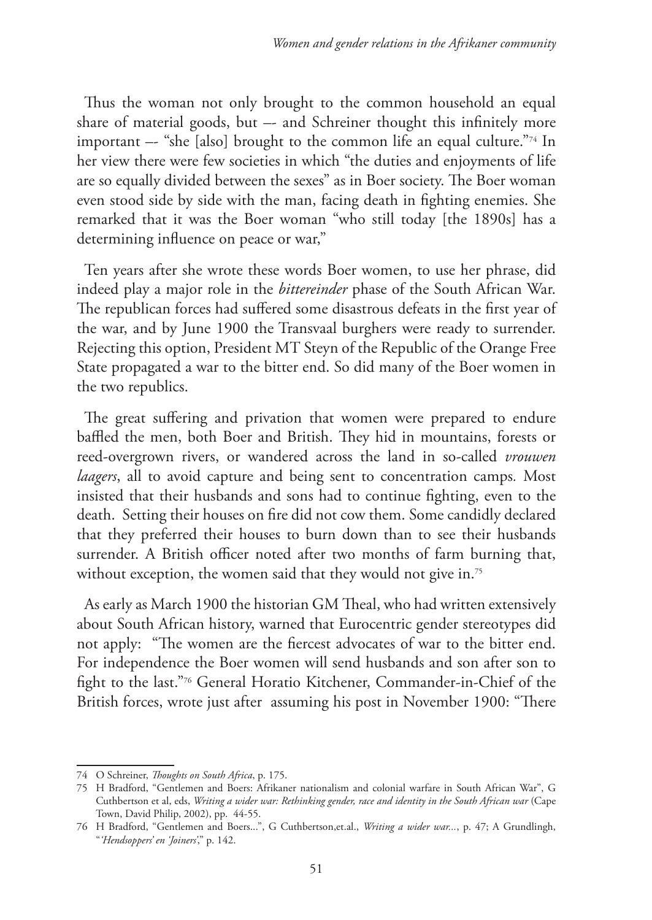Thus the woman not only brought to the common household an equal share of material goods, but –- and Schreiner thought this infinitely more important –- "she [also] brought to the common life an equal culture."<sup>74</sup> In her view there were few societies in which "the duties and enjoyments of life are so equally divided between the sexes" as in Boer society. The Boer woman even stood side by side with the man, facing death in fighting enemies. She remarked that it was the Boer woman "who still today [the 1890s] has a determining influence on peace or war,"

Ten years after she wrote these words Boer women, to use her phrase, did indeed play a major role in the *bittereinder* phase of the South African War. The republican forces had suffered some disastrous defeats in the first year of the war, and by June 1900 the Transvaal burghers were ready to surrender. Rejecting this option, President MT Steyn of the Republic of the Orange Free State propagated a war to the bitter end. So did many of the Boer women in the two republics.

The great suffering and privation that women were prepared to endure baffled the men, both Boer and British. They hid in mountains, forests or reed-overgrown rivers, or wandered across the land in so-called *vrouwen laagers*, all to avoid capture and being sent to concentration camps*.* Most insisted that their husbands and sons had to continue fighting, even to the death. Setting their houses on fire did not cow them. Some candidly declared that they preferred their houses to burn down than to see their husbands surrender. A British officer noted after two months of farm burning that, without exception, the women said that they would not give in.<sup>75</sup>

As early as March 1900 the historian GM Theal, who had written extensively about South African history, warned that Eurocentric gender stereotypes did not apply: "The women are the fiercest advocates of war to the bitter end. For independence the Boer women will send husbands and son after son to fight to the last."76 General Horatio Kitchener, Commander-in-Chief of the British forces, wrote just after assuming his post in November 1900: "There

<sup>74</sup> O Schreiner, *Thoughts on South Africa*, p. 175.

<sup>75</sup> H Bradford, "Gentlemen and Boers: Afrikaner nationalism and colonial warfare in South African War", G Cuthbertson et al, eds, *Writing a wider war: Rethinking gender, race and identity in the South African war* (Cape Town, David Philip, 2002), pp. 44-55.

<sup>76</sup> H Bradford, "Gentlemen and Boers...", G Cuthbertson,et.al., *Writing a wider war...*, p. 47; A Grundlingh, "*'Hendsoppers' en 'Joiners'*," p. 142.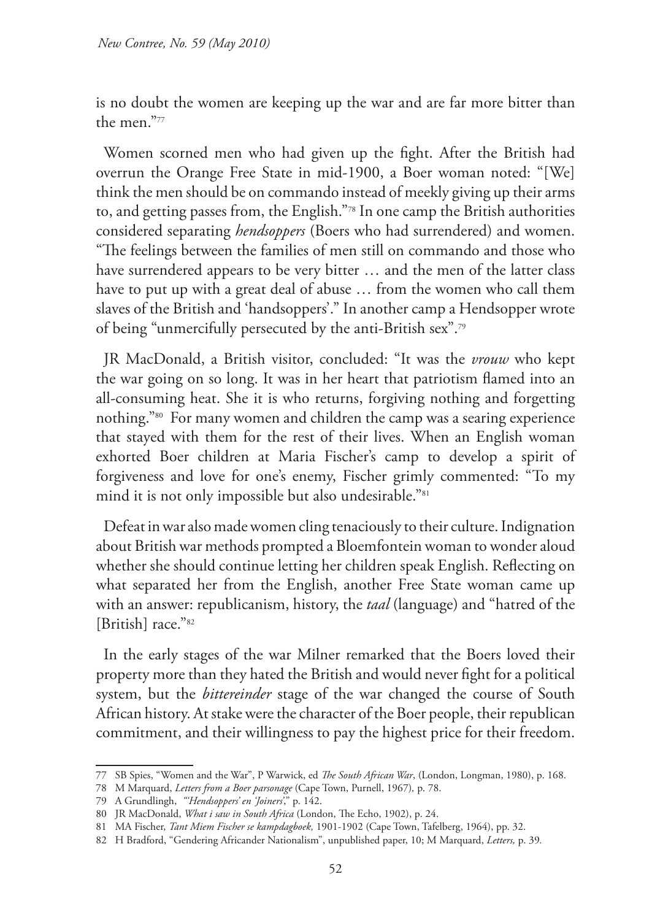is no doubt the women are keeping up the war and are far more bitter than the men<sup>"77</sup>

Women scorned men who had given up the fight. After the British had overrun the Orange Free State in mid-1900, a Boer woman noted: "[We] think the men should be on commando instead of meekly giving up their arms to, and getting passes from, the English."78 In one camp the British authorities considered separating *hendsoppers* (Boers who had surrendered) and women. "The feelings between the families of men still on commando and those who have surrendered appears to be very bitter … and the men of the latter class have to put up with a great deal of abuse … from the women who call them slaves of the British and 'handsoppers'." In another camp a Hendsopper wrote of being "unmercifully persecuted by the anti-British sex".79

JR MacDonald, a British visitor, concluded: "It was the *vrouw* who kept the war going on so long. It was in her heart that patriotism flamed into an all-consuming heat. She it is who returns, forgiving nothing and forgetting nothing."80 For many women and children the camp was a searing experience that stayed with them for the rest of their lives. When an English woman exhorted Boer children at Maria Fischer's camp to develop a spirit of forgiveness and love for one's enemy, Fischer grimly commented: "To my mind it is not only impossible but also undesirable."81

Defeat in war also made women cling tenaciously to their culture. Indignation about British war methods prompted a Bloemfontein woman to wonder aloud whether she should continue letting her children speak English. Reflecting on what separated her from the English, another Free State woman came up with an answer: republicanism, history, the *taal* (language) and "hatred of the [British] race."<sup>82</sup>

In the early stages of the war Milner remarked that the Boers loved their property more than they hated the British and would never fight for a political system, but the *bittereinder* stage of the war changed the course of South African history. At stake were the character of the Boer people, their republican commitment, and their willingness to pay the highest price for their freedom.

<sup>77</sup> SB Spies, "Women and the War", P Warwick, ed *The South African War*, (London, Longman, 1980), p. 168.

<sup>78</sup> M Marquard, *Letters from a Boer parsonage* (Cape Town, Purnell, 1967)*,* p. 78.

<sup>79</sup> A Grundlingh, *"'Hendsoppers' en 'Joiners'*," p. 142.

<sup>80</sup> JR MacDonald, *What i saw in South Africa* (London, The Echo, 1902), p. 24.

<sup>81</sup> MA Fischer, *Tant Miem Fischer se kampdagboek,* 1901-1902 (Cape Town, Tafelberg, 1964), pp. 32.

<sup>82</sup> H Bradford, "Gendering Africander Nationalism", unpublished paper, 10; M Marquard, *Letters,* p. 39*.*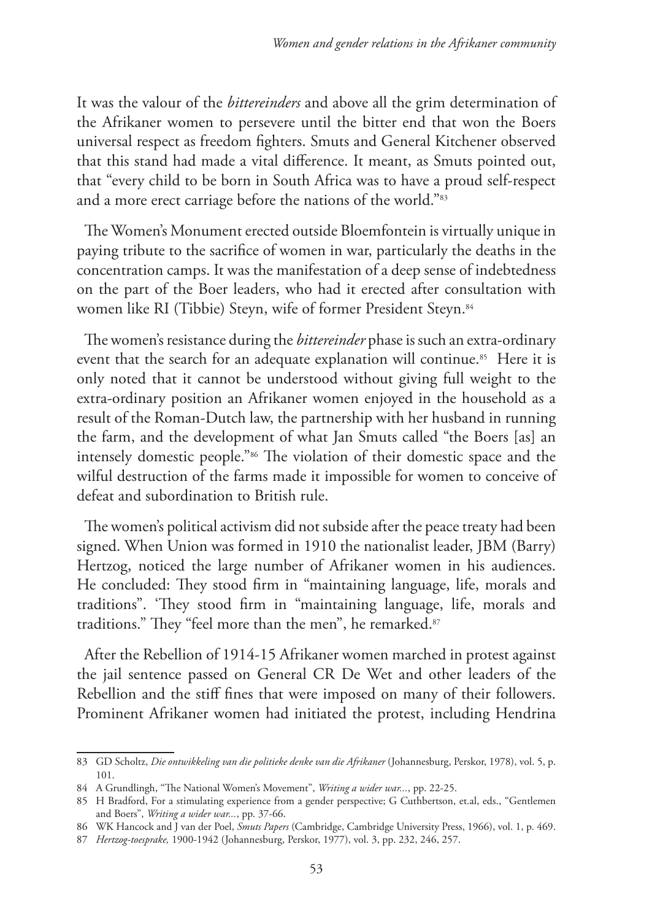It was the valour of the *bittereinders* and above all the grim determination of the Afrikaner women to persevere until the bitter end that won the Boers universal respect as freedom fighters. Smuts and General Kitchener observed that this stand had made a vital difference. It meant, as Smuts pointed out, that "every child to be born in South Africa was to have a proud self-respect and a more erect carriage before the nations of the world."83

The Women's Monument erected outside Bloemfontein is virtually unique in paying tribute to the sacrifice of women in war, particularly the deaths in the concentration camps. It was the manifestation of a deep sense of indebtedness on the part of the Boer leaders, who had it erected after consultation with women like RI (Tibbie) Steyn, wife of former President Steyn.<sup>84</sup>

The women's resistance during the *bittereinder* phase is such an extra-ordinary event that the search for an adequate explanation will continue.<sup>85</sup> Here it is only noted that it cannot be understood without giving full weight to the extra-ordinary position an Afrikaner women enjoyed in the household as a result of the Roman-Dutch law, the partnership with her husband in running the farm, and the development of what Jan Smuts called "the Boers [as] an intensely domestic people."86 The violation of their domestic space and the wilful destruction of the farms made it impossible for women to conceive of defeat and subordination to British rule.

The women's political activism did not subside after the peace treaty had been signed. When Union was formed in 1910 the nationalist leader, JBM (Barry) Hertzog, noticed the large number of Afrikaner women in his audiences. He concluded: They stood firm in "maintaining language, life, morals and traditions". 'They stood firm in "maintaining language, life, morals and traditions." They "feel more than the men", he remarked.<sup>87</sup>

After the Rebellion of 1914-15 Afrikaner women marched in protest against the jail sentence passed on General CR De Wet and other leaders of the Rebellion and the stiff fines that were imposed on many of their followers. Prominent Afrikaner women had initiated the protest, including Hendrina

<sup>83</sup> GD Scholtz, *Die ontwikkeling van die politieke denke van die Afrikaner* (Johannesburg, Perskor, 1978), vol. 5, p. 101.

<sup>84</sup> A Grundlingh, "The National Women's Movement", *Writing a wider war...*, pp. 22-25.

<sup>85</sup> H Bradford, For a stimulating experience from a gender perspective; G Cuthbertson, et.al, eds., "Gentlemen and Boers", *Writing a wider war...*, pp. 37-66.

<sup>86</sup> WK Hancock and J van der Poel, *Smuts Papers* (Cambridge, Cambridge University Press, 1966), vol. 1, p. 469.

<sup>87</sup> *Hertzog-toesprake,* 1900-1942 (Johannesburg, Perskor, 1977), vol. 3, pp. 232, 246, 257.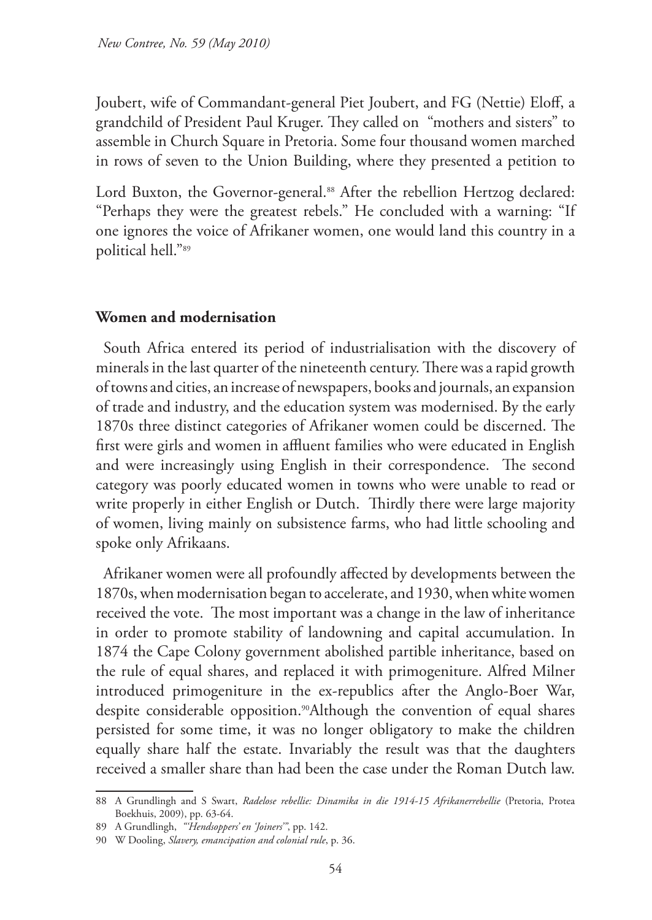Joubert, wife of Commandant-general Piet Joubert, and FG (Nettie) Eloff, a grandchild of President Paul Kruger. They called on "mothers and sisters" to assemble in Church Square in Pretoria. Some four thousand women marched in rows of seven to the Union Building, where they presented a petition to

Lord Buxton, the Governor-general.<sup>88</sup> After the rebellion Hertzog declared: "Perhaps they were the greatest rebels." He concluded with a warning: "If one ignores the voice of Afrikaner women, one would land this country in a political hell."89

## **Women and modernisation**

South Africa entered its period of industrialisation with the discovery of minerals in the last quarter of the nineteenth century. There was a rapid growth of towns and cities, an increase of newspapers, books and journals, an expansion of trade and industry, and the education system was modernised. By the early 1870s three distinct categories of Afrikaner women could be discerned. The first were girls and women in affluent families who were educated in English and were increasingly using English in their correspondence. The second category was poorly educated women in towns who were unable to read or write properly in either English or Dutch. Thirdly there were large majority of women, living mainly on subsistence farms, who had little schooling and spoke only Afrikaans.

Afrikaner women were all profoundly affected by developments between the 1870s, when modernisation began to accelerate, and 1930, when white women received the vote. The most important was a change in the law of inheritance in order to promote stability of landowning and capital accumulation. In 1874 the Cape Colony government abolished partible inheritance, based on the rule of equal shares, and replaced it with primogeniture. Alfred Milner introduced primogeniture in the ex-republics after the Anglo-Boer War, despite considerable opposition.<sup>90</sup>Although the convention of equal shares persisted for some time, it was no longer obligatory to make the children equally share half the estate. Invariably the result was that the daughters received a smaller share than had been the case under the Roman Dutch law.

<sup>88</sup> A Grundlingh and S Swart, *Radelose rebellie: Dinamika in die 1914-15 Afrikanerrebellie* (Pretoria, Protea Boekhuis, 2009), pp. 63-64.

<sup>89</sup> A Grundlingh, *"'Hendsoppers' en 'Joiners'"*, pp. 142.

<sup>90</sup> W Dooling, *Slavery, emancipation and colonial rule*, p. 36.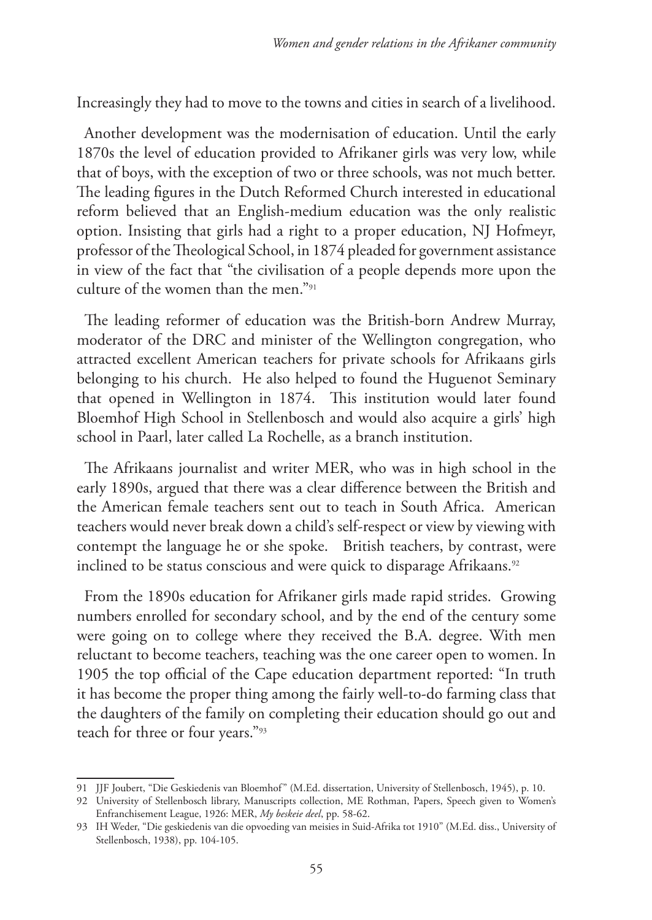Increasingly they had to move to the towns and cities in search of a livelihood.

Another development was the modernisation of education. Until the early 1870s the level of education provided to Afrikaner girls was very low, while that of boys, with the exception of two or three schools, was not much better. The leading figures in the Dutch Reformed Church interested in educational reform believed that an English-medium education was the only realistic option. Insisting that girls had a right to a proper education, NJ Hofmeyr, professor of the Theological School, in 1874 pleaded for government assistance in view of the fact that "the civilisation of a people depends more upon the culture of the women than the men."91

The leading reformer of education was the British-born Andrew Murray, moderator of the DRC and minister of the Wellington congregation, who attracted excellent American teachers for private schools for Afrikaans girls belonging to his church. He also helped to found the Huguenot Seminary that opened in Wellington in 1874. This institution would later found Bloemhof High School in Stellenbosch and would also acquire a girls' high school in Paarl, later called La Rochelle, as a branch institution.

The Afrikaans journalist and writer MER, who was in high school in the early 1890s, argued that there was a clear difference between the British and the American female teachers sent out to teach in South Africa. American teachers would never break down a child's self-respect or view by viewing with contempt the language he or she spoke. British teachers, by contrast, were inclined to be status conscious and were quick to disparage Afrikaans.<sup>92</sup>

From the 1890s education for Afrikaner girls made rapid strides. Growing numbers enrolled for secondary school, and by the end of the century some were going on to college where they received the B.A. degree. With men reluctant to become teachers, teaching was the one career open to women. In 1905 the top official of the Cape education department reported: "In truth it has become the proper thing among the fairly well-to-do farming class that the daughters of the family on completing their education should go out and teach for three or four years."93

<sup>91</sup> JJF Joubert, "Die Geskiedenis van Bloemhof" (M.Ed. dissertation, University of Stellenbosch, 1945), p. 10.

<sup>92</sup> University of Stellenbosch library, Manuscripts collection, ME Rothman, Papers, Speech given to Women's Enfranchisement League, 1926: MER, *My beskeie deel*, pp. 58-62.

<sup>93</sup> IH Weder, "Die geskiedenis van die opvoeding van meisies in Suid-Afrika tot 1910" (M.Ed. diss., University of Stellenbosch, 1938), pp. 104-105.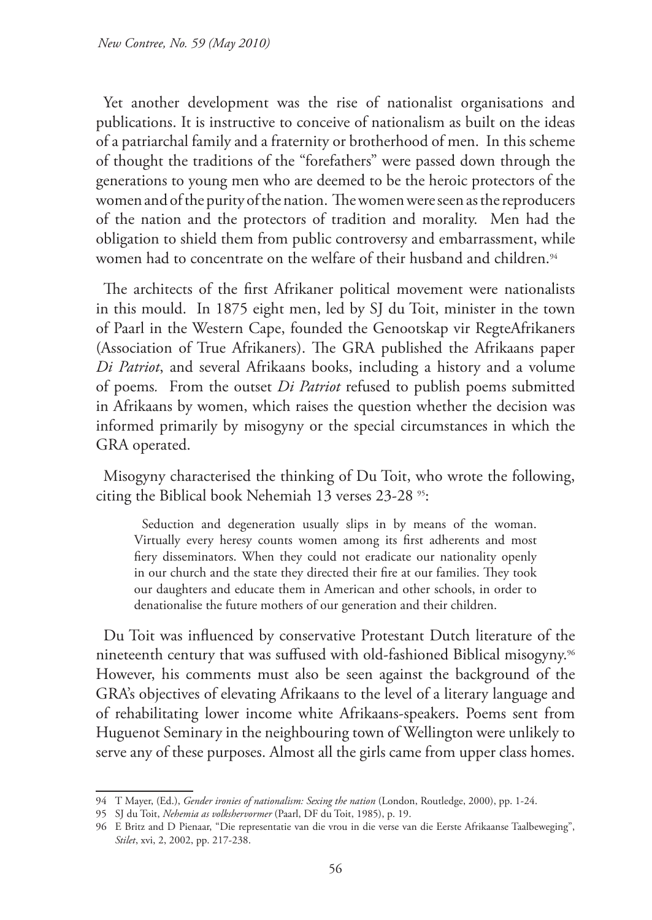Yet another development was the rise of nationalist organisations and publications. It is instructive to conceive of nationalism as built on the ideas of a patriarchal family and a fraternity or brotherhood of men. In this scheme of thought the traditions of the "forefathers" were passed down through the generations to young men who are deemed to be the heroic protectors of the women and of the purity of the nation. The women were seen as the reproducers of the nation and the protectors of tradition and morality. Men had the obligation to shield them from public controversy and embarrassment, while women had to concentrate on the welfare of their husband and children.<sup>94</sup>

The architects of the first Afrikaner political movement were nationalists in this mould. In 1875 eight men, led by SJ du Toit, minister in the town of Paarl in the Western Cape, founded the Genootskap vir RegteAfrikaners (Association of True Afrikaners). The GRA published the Afrikaans paper *Di Patriot*, and several Afrikaans books, including a history and a volume of poems*.* From the outset *Di Patriot* refused to publish poems submitted in Afrikaans by women, which raises the question whether the decision was informed primarily by misogyny or the special circumstances in which the GRA operated.

Misogyny characterised the thinking of Du Toit, who wrote the following, citing the Biblical book Nehemiah 13 verses 23-28 <sup>95</sup>:

Seduction and degeneration usually slips in by means of the woman. Virtually every heresy counts women among its first adherents and most fiery disseminators. When they could not eradicate our nationality openly in our church and the state they directed their fire at our families. They took our daughters and educate them in American and other schools, in order to denationalise the future mothers of our generation and their children.

Du Toit was influenced by conservative Protestant Dutch literature of the nineteenth century that was suffused with old-fashioned Biblical misogyny.96 However, his comments must also be seen against the background of the GRA's objectives of elevating Afrikaans to the level of a literary language and of rehabilitating lower income white Afrikaans-speakers. Poems sent from Huguenot Seminary in the neighbouring town of Wellington were unlikely to serve any of these purposes. Almost all the girls came from upper class homes.

<sup>94</sup> T Mayer, (Ed.), *Gender ironies of nationalism: Sexing the nation* (London, Routledge, 2000), pp. 1-24.

<sup>95</sup> SJ du Toit, *Nehemia as volkshervormer* (Paarl, DF du Toit, 1985), p. 19.

<sup>96</sup> E Britz and D Pienaar, "Die representatie van die vrou in die verse van die Eerste Afrikaanse Taalbeweging", *Stilet*, xvi, 2, 2002, pp. 217-238.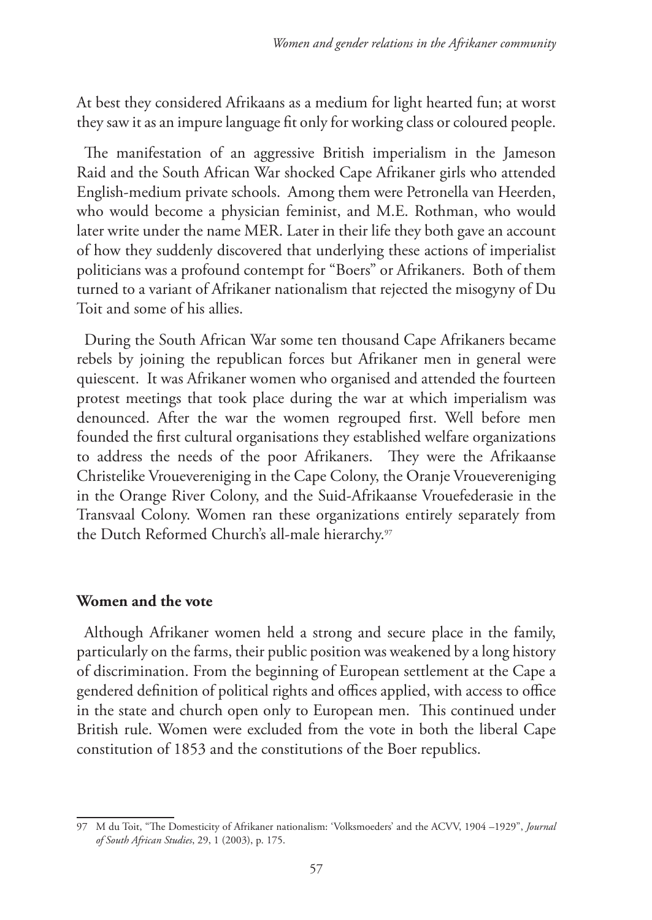At best they considered Afrikaans as a medium for light hearted fun; at worst they saw it as an impure language fit only for working class or coloured people.

The manifestation of an aggressive British imperialism in the Jameson Raid and the South African War shocked Cape Afrikaner girls who attended English-medium private schools. Among them were Petronella van Heerden, who would become a physician feminist, and M.E. Rothman, who would later write under the name MER. Later in their life they both gave an account of how they suddenly discovered that underlying these actions of imperialist politicians was a profound contempt for "Boers" or Afrikaners. Both of them turned to a variant of Afrikaner nationalism that rejected the misogyny of Du Toit and some of his allies.

During the South African War some ten thousand Cape Afrikaners became rebels by joining the republican forces but Afrikaner men in general were quiescent. It was Afrikaner women who organised and attended the fourteen protest meetings that took place during the war at which imperialism was denounced. After the war the women regrouped first. Well before men founded the first cultural organisations they established welfare organizations to address the needs of the poor Afrikaners. They were the Afrikaanse Christelike Vrouevereniging in the Cape Colony, the Oranje Vrouevereniging in the Orange River Colony, and the Suid-Afrikaanse Vrouefederasie in the Transvaal Colony. Women ran these organizations entirely separately from the Dutch Reformed Church's all-male hierarchy.97

# **Women and the vote**

Although Afrikaner women held a strong and secure place in the family, particularly on the farms, their public position was weakened by a long history of discrimination. From the beginning of European settlement at the Cape a gendered definition of political rights and offices applied, with access to office in the state and church open only to European men. This continued under British rule. Women were excluded from the vote in both the liberal Cape constitution of 1853 and the constitutions of the Boer republics.

<sup>97</sup> M du Toit, "The Domesticity of Afrikaner nationalism: 'Volksmoeders' and the ACVV, 1904 –1929", *Journal of South African Studies*, 29, 1 (2003), p. 175.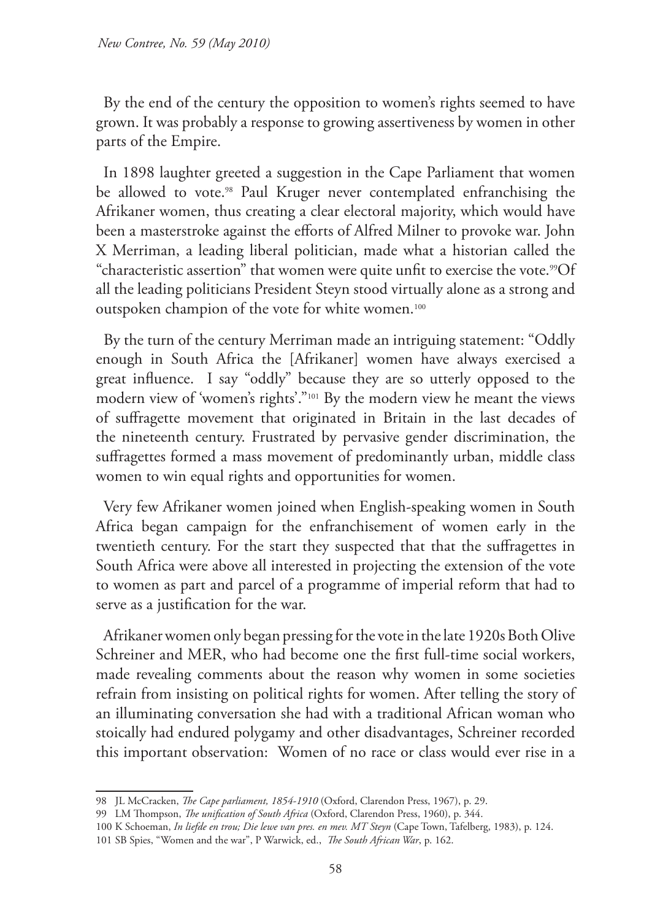By the end of the century the opposition to women's rights seemed to have grown. It was probably a response to growing assertiveness by women in other parts of the Empire.

In 1898 laughter greeted a suggestion in the Cape Parliament that women be allowed to vote.<sup>98</sup> Paul Kruger never contemplated enfranchising the Afrikaner women, thus creating a clear electoral majority, which would have been a masterstroke against the efforts of Alfred Milner to provoke war. John X Merriman, a leading liberal politician, made what a historian called the "characteristic assertion" that women were quite unfit to exercise the vote.<sup>99</sup>Of all the leading politicians President Steyn stood virtually alone as a strong and outspoken champion of the vote for white women.100

By the turn of the century Merriman made an intriguing statement: "Oddly enough in South Africa the [Afrikaner] women have always exercised a great influence. I say "oddly" because they are so utterly opposed to the modern view of 'women's rights'."101 By the modern view he meant the views of suffragette movement that originated in Britain in the last decades of the nineteenth century. Frustrated by pervasive gender discrimination, the suffragettes formed a mass movement of predominantly urban, middle class women to win equal rights and opportunities for women.

Very few Afrikaner women joined when English-speaking women in South Africa began campaign for the enfranchisement of women early in the twentieth century. For the start they suspected that that the suffragettes in South Africa were above all interested in projecting the extension of the vote to women as part and parcel of a programme of imperial reform that had to serve as a justification for the war.

Afrikaner women only began pressing for the vote in the late 1920s Both Olive Schreiner and MER, who had become one the first full-time social workers, made revealing comments about the reason why women in some societies refrain from insisting on political rights for women. After telling the story of an illuminating conversation she had with a traditional African woman who stoically had endured polygamy and other disadvantages, Schreiner recorded this important observation: Women of no race or class would ever rise in a

<sup>98</sup> JL McCracken, *The Cape parliament, 1854-1910* (Oxford, Clarendon Press, 1967), p. 29.

<sup>99</sup> LM Thompson, *The unification of South Africa* (Oxford, Clarendon Press, 1960), p. 344.

<sup>100</sup> K Schoeman, *In liefde en trou; Die lewe van pres. en mev. MT Steyn* (Cape Town, Tafelberg, 1983), p. 124.

<sup>101</sup> SB Spies, "Women and the war", P Warwick, ed., *The South African War*, p. 162.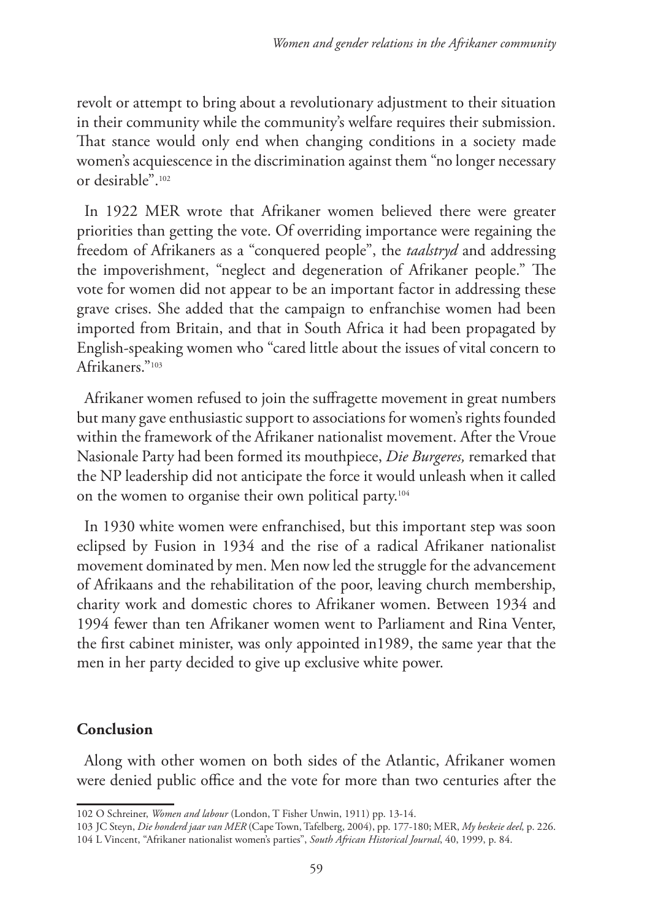revolt or attempt to bring about a revolutionary adjustment to their situation in their community while the community's welfare requires their submission. That stance would only end when changing conditions in a society made women's acquiescence in the discrimination against them "no longer necessary or desirable".102

In 1922 MER wrote that Afrikaner women believed there were greater priorities than getting the vote. Of overriding importance were regaining the freedom of Afrikaners as a "conquered people", the *taalstryd* and addressing the impoverishment, "neglect and degeneration of Afrikaner people." The vote for women did not appear to be an important factor in addressing these grave crises. She added that the campaign to enfranchise women had been imported from Britain, and that in South Africa it had been propagated by English-speaking women who "cared little about the issues of vital concern to Afrikaners."103

Afrikaner women refused to join the suffragette movement in great numbers but many gave enthusiastic support to associations for women's rights founded within the framework of the Afrikaner nationalist movement. After the Vroue Nasionale Party had been formed its mouthpiece, *Die Burgeres,* remarked that the NP leadership did not anticipate the force it would unleash when it called on the women to organise their own political party.104

In 1930 white women were enfranchised, but this important step was soon eclipsed by Fusion in 1934 and the rise of a radical Afrikaner nationalist movement dominated by men. Men now led the struggle for the advancement of Afrikaans and the rehabilitation of the poor, leaving church membership, charity work and domestic chores to Afrikaner women. Between 1934 and 1994 fewer than ten Afrikaner women went to Parliament and Rina Venter, the first cabinet minister, was only appointed in1989, the same year that the men in her party decided to give up exclusive white power.

# **Conclusion**

Along with other women on both sides of the Atlantic, Afrikaner women were denied public office and the vote for more than two centuries after the

<sup>102</sup> O Schreiner, *Women and labour* (London, T Fisher Unwin, 1911) pp. 13-14.

<sup>103</sup> JC Steyn, *Die honderd jaar van MER* (Cape Town, Tafelberg, 2004), pp. 177-180; MER, *My beskeie deel,* p. 226. 104 L Vincent, "Afrikaner nationalist women's parties", *South African Historical Journal*, 40, 1999, p. 84.